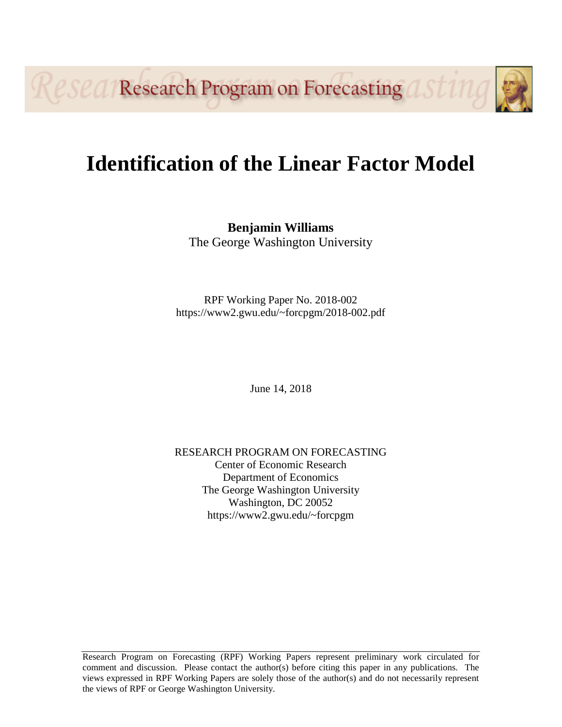**Research Program on Forecasting astul** 

# **Identification of the Linear Factor Model**

**Benjamin Williams** The George Washington University

RPF Working Paper No. 2018-002 https://www2.gwu.edu/~forcpgm/2018-002.pdf

June 14, 2018

RESEARCH PROGRAM ON FORECASTING Center of Economic Research Department of Economics The George Washington University Washington, DC 20052 https://www2.gwu.edu/~forcpgm

Research Program on Forecasting (RPF) Working Papers represent preliminary work circulated for comment and discussion. Please contact the author(s) before citing this paper in any publications. The views expressed in RPF Working Papers are solely those of the author(s) and do not necessarily represent the views of RPF or George Washington University.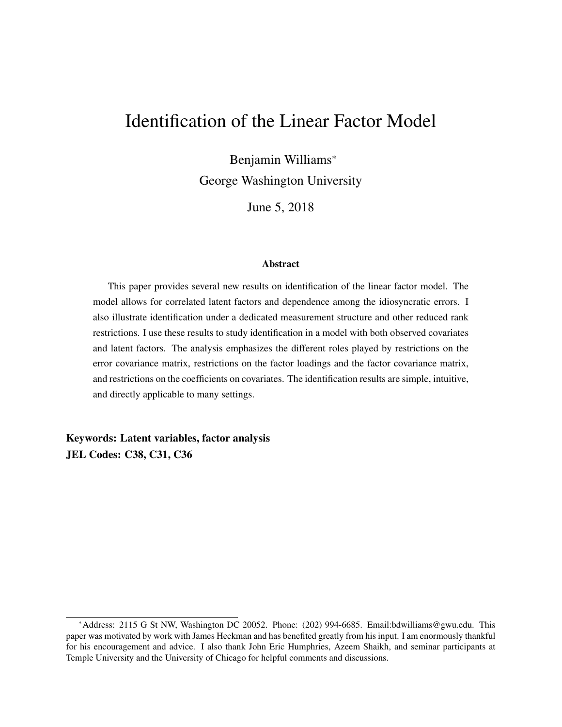## Identification of the Linear Factor Model

Benjamin Williams<sup>∗</sup> George Washington University

June 5, 2018

#### Abstract

This paper provides several new results on identification of the linear factor model. The model allows for correlated latent factors and dependence among the idiosyncratic errors. I also illustrate identification under a dedicated measurement structure and other reduced rank restrictions. I use these results to study identification in a model with both observed covariates and latent factors. The analysis emphasizes the different roles played by restrictions on the error covariance matrix, restrictions on the factor loadings and the factor covariance matrix, and restrictions on the coefficients on covariates. The identification results are simple, intuitive, and directly applicable to many settings.

Keywords: Latent variables, factor analysis JEL Codes: C38, C31, C36

<sup>∗</sup>Address: 2115 G St NW, Washington DC 20052. Phone: (202) 994-6685. Email:bdwilliams@gwu.edu. This paper was motivated by work with James Heckman and has benefited greatly from his input. I am enormously thankful for his encouragement and advice. I also thank John Eric Humphries, Azeem Shaikh, and seminar participants at Temple University and the University of Chicago for helpful comments and discussions.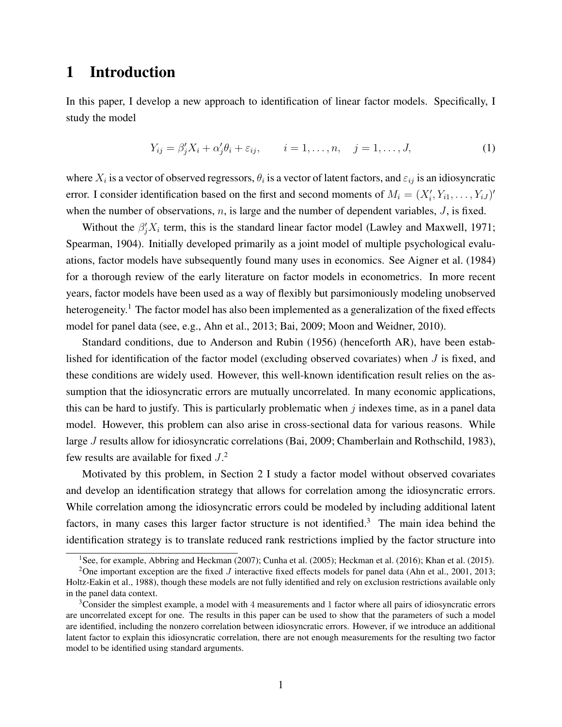### 1 Introduction

In this paper, I develop a new approach to identification of linear factor models. Specifically, I study the model

$$
Y_{ij} = \beta'_j X_i + \alpha'_j \theta_i + \varepsilon_{ij}, \qquad i = 1, \dots, n, \quad j = 1, \dots, J,
$$
 (1)

where  $X_i$  is a vector of observed regressors,  $\theta_i$  is a vector of latent factors, and  $\varepsilon_{ij}$  is an idiosyncratic error. I consider identification based on the first and second moments of  $M_i = (X'_i, Y_{i1}, \dots, Y_{iJ})'$ when the number of observations,  $n$ , is large and the number of dependent variables,  $J$ , is fixed.

Without the  $\beta_j' X_i$  term, this is the standard linear factor model (Lawley and Maxwell, 1971; Spearman, 1904). Initially developed primarily as a joint model of multiple psychological evaluations, factor models have subsequently found many uses in economics. See Aigner et al. (1984) for a thorough review of the early literature on factor models in econometrics. In more recent years, factor models have been used as a way of flexibly but parsimoniously modeling unobserved heterogeneity.<sup>1</sup> The factor model has also been implemented as a generalization of the fixed effects model for panel data (see, e.g., Ahn et al., 2013; Bai, 2009; Moon and Weidner, 2010).

Standard conditions, due to Anderson and Rubin (1956) (henceforth AR), have been established for identification of the factor model (excluding observed covariates) when J is fixed, and these conditions are widely used. However, this well-known identification result relies on the assumption that the idiosyncratic errors are mutually uncorrelated. In many economic applications, this can be hard to justify. This is particularly problematic when  $j$  indexes time, as in a panel data model. However, this problem can also arise in cross-sectional data for various reasons. While large J results allow for idiosyncratic correlations (Bai, 2009; Chamberlain and Rothschild, 1983), few results are available for fixed  $J<sup>2</sup>$ .

Motivated by this problem, in Section 2 I study a factor model without observed covariates and develop an identification strategy that allows for correlation among the idiosyncratic errors. While correlation among the idiosyncratic errors could be modeled by including additional latent factors, in many cases this larger factor structure is not identified.<sup>3</sup> The main idea behind the identification strategy is to translate reduced rank restrictions implied by the factor structure into

<sup>&</sup>lt;sup>1</sup>See, for example, Abbring and Heckman (2007); Cunha et al. (2005); Heckman et al. (2016); Khan et al. (2015).

<sup>&</sup>lt;sup>2</sup>One important exception are the fixed J interactive fixed effects models for panel data (Ahn et al., 2001, 2013; Holtz-Eakin et al., 1988), though these models are not fully identified and rely on exclusion restrictions available only in the panel data context.

<sup>&</sup>lt;sup>3</sup>Consider the simplest example, a model with 4 measurements and 1 factor where all pairs of idiosyncratic errors are uncorrelated except for one. The results in this paper can be used to show that the parameters of such a model are identified, including the nonzero correlation between idiosyncratic errors. However, if we introduce an additional latent factor to explain this idiosyncratic correlation, there are not enough measurements for the resulting two factor model to be identified using standard arguments.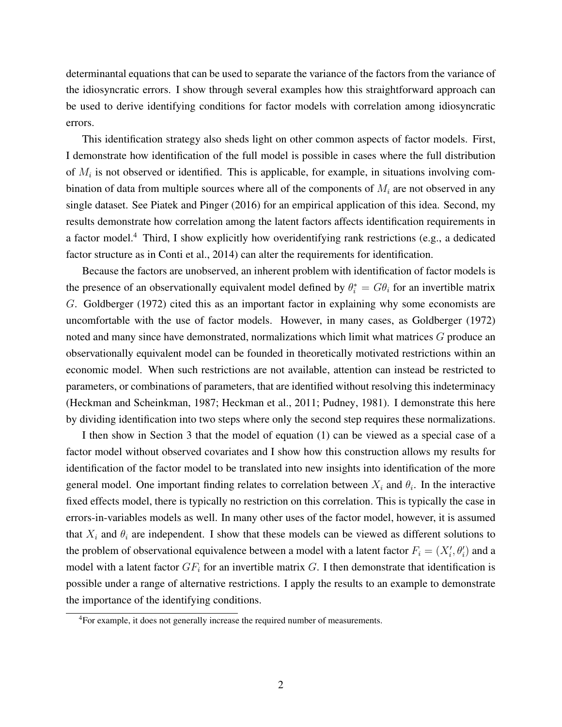determinantal equations that can be used to separate the variance of the factors from the variance of the idiosyncratic errors. I show through several examples how this straightforward approach can be used to derive identifying conditions for factor models with correlation among idiosyncratic errors.

This identification strategy also sheds light on other common aspects of factor models. First, I demonstrate how identification of the full model is possible in cases where the full distribution of  $M_i$  is not observed or identified. This is applicable, for example, in situations involving combination of data from multiple sources where all of the components of  $M_i$  are not observed in any single dataset. See Piatek and Pinger (2016) for an empirical application of this idea. Second, my results demonstrate how correlation among the latent factors affects identification requirements in a factor model.<sup>4</sup> Third, I show explicitly how overidentifying rank restrictions (e.g., a dedicated factor structure as in Conti et al., 2014) can alter the requirements for identification.

Because the factors are unobserved, an inherent problem with identification of factor models is the presence of an observationally equivalent model defined by  $\theta_i^* = G\theta_i$  for an invertible matrix G. Goldberger (1972) cited this as an important factor in explaining why some economists are uncomfortable with the use of factor models. However, in many cases, as Goldberger (1972) noted and many since have demonstrated, normalizations which limit what matrices G produce an observationally equivalent model can be founded in theoretically motivated restrictions within an economic model. When such restrictions are not available, attention can instead be restricted to parameters, or combinations of parameters, that are identified without resolving this indeterminacy (Heckman and Scheinkman, 1987; Heckman et al., 2011; Pudney, 1981). I demonstrate this here by dividing identification into two steps where only the second step requires these normalizations.

I then show in Section 3 that the model of equation (1) can be viewed as a special case of a factor model without observed covariates and I show how this construction allows my results for identification of the factor model to be translated into new insights into identification of the more general model. One important finding relates to correlation between  $X_i$  and  $\theta_i$ . In the interactive fixed effects model, there is typically no restriction on this correlation. This is typically the case in errors-in-variables models as well. In many other uses of the factor model, however, it is assumed that  $X_i$  and  $\theta_i$  are independent. I show that these models can be viewed as different solutions to the problem of observational equivalence between a model with a latent factor  $F_i = (X_i', \theta_i')$  and a model with a latent factor  $GF_i$  for an invertible matrix G. I then demonstrate that identification is possible under a range of alternative restrictions. I apply the results to an example to demonstrate the importance of the identifying conditions.

<sup>&</sup>lt;sup>4</sup>For example, it does not generally increase the required number of measurements.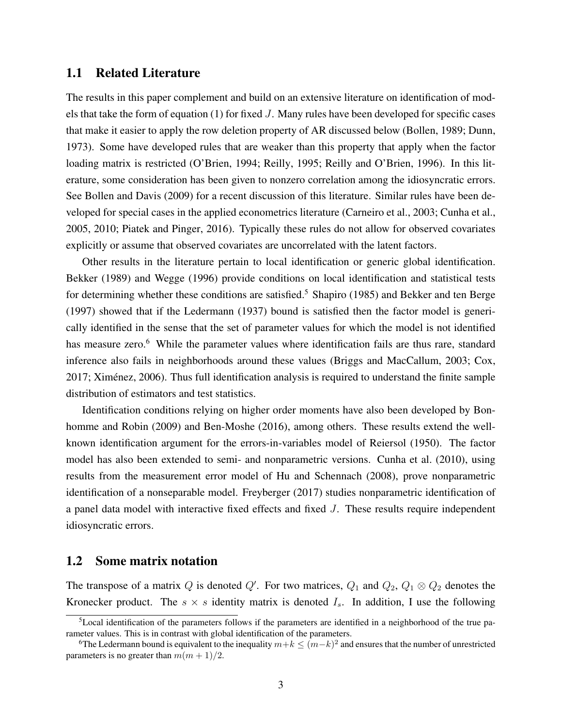#### 1.1 Related Literature

The results in this paper complement and build on an extensive literature on identification of models that take the form of equation (1) for fixed J. Many rules have been developed for specific cases that make it easier to apply the row deletion property of AR discussed below (Bollen, 1989; Dunn, 1973). Some have developed rules that are weaker than this property that apply when the factor loading matrix is restricted (O'Brien, 1994; Reilly, 1995; Reilly and O'Brien, 1996). In this literature, some consideration has been given to nonzero correlation among the idiosyncratic errors. See Bollen and Davis (2009) for a recent discussion of this literature. Similar rules have been developed for special cases in the applied econometrics literature (Carneiro et al., 2003; Cunha et al., 2005, 2010; Piatek and Pinger, 2016). Typically these rules do not allow for observed covariates explicitly or assume that observed covariates are uncorrelated with the latent factors.

Other results in the literature pertain to local identification or generic global identification. Bekker (1989) and Wegge (1996) provide conditions on local identification and statistical tests for determining whether these conditions are satisfied.<sup>5</sup> Shapiro (1985) and Bekker and ten Berge (1997) showed that if the Ledermann (1937) bound is satisfied then the factor model is generically identified in the sense that the set of parameter values for which the model is not identified has measure zero.<sup>6</sup> While the parameter values where identification fails are thus rare, standard inference also fails in neighborhoods around these values (Briggs and MacCallum, 2003; Cox, 2017; Ximenez, 2006). Thus full identification analysis is required to understand the finite sample ´ distribution of estimators and test statistics.

Identification conditions relying on higher order moments have also been developed by Bonhomme and Robin (2009) and Ben-Moshe (2016), among others. These results extend the wellknown identification argument for the errors-in-variables model of Reiersol (1950). The factor model has also been extended to semi- and nonparametric versions. Cunha et al. (2010), using results from the measurement error model of Hu and Schennach (2008), prove nonparametric identification of a nonseparable model. Freyberger (2017) studies nonparametric identification of a panel data model with interactive fixed effects and fixed J. These results require independent idiosyncratic errors.

#### 1.2 Some matrix notation

The transpose of a matrix Q is denoted Q'. For two matrices,  $Q_1$  and  $Q_2$ ,  $Q_1 \otimes Q_2$  denotes the Kronecker product. The  $s \times s$  identity matrix is denoted  $I_s$ . In addition, I use the following

<sup>5</sup>Local identification of the parameters follows if the parameters are identified in a neighborhood of the true parameter values. This is in contrast with global identification of the parameters.

<sup>&</sup>lt;sup>6</sup>The Ledermann bound is equivalent to the inequality  $m+k \leq (m-k)^2$  and ensures that the number of unrestricted parameters is no greater than  $m(m + 1)/2$ .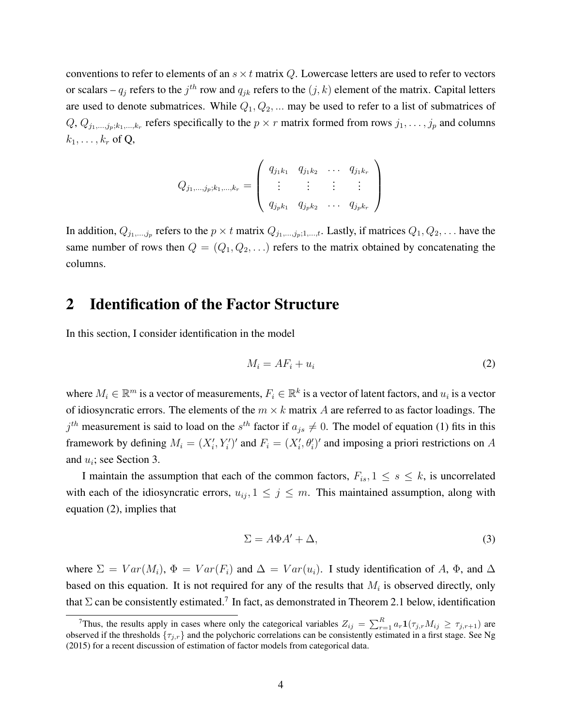conventions to refer to elements of an  $s \times t$  matrix Q. Lowercase letters are used to refer to vectors or scalars –  $q_j$  refers to the  $j^{th}$  row and  $q_{jk}$  refers to the  $(j, k)$  element of the matrix. Capital letters are used to denote submatrices. While  $Q_1, Q_2, \dots$  may be used to refer to a list of submatrices of  $Q, Q_{j_1,...,j_p;k_1,...,k_r}$  refers specifically to the  $p \times r$  matrix formed from rows  $j_1,...,j_p$  and columns  $k_1, \ldots, k_r$  of Q,

$$
Q_{j_1,\dots,j_p;k_1,\dots,k_r} = \left( \begin{array}{cccc} q_{j_1k_1} & q_{j_1k_2} & \dots & q_{j_1k_r} \\ \vdots & \vdots & \vdots & \vdots \\ q_{j_pk_1} & q_{j_pk_2} & \dots & q_{j_pk_r} \end{array} \right)
$$

In addition,  $Q_{j_1,...,j_p}$  refers to the  $p \times t$  matrix  $Q_{j_1,...,j_p;1,...,t}$ . Lastly, if matrices  $Q_1, Q_2, \ldots$  have the same number of rows then  $Q = (Q_1, Q_2, \ldots)$  refers to the matrix obtained by concatenating the columns.

### 2 Identification of the Factor Structure

In this section, I consider identification in the model

$$
M_i = AF_i + u_i \tag{2}
$$

where  $M_i \in \mathbb{R}^m$  is a vector of measurements,  $F_i \in \mathbb{R}^k$  is a vector of latent factors, and  $u_i$  is a vector of idiosyncratic errors. The elements of the  $m \times k$  matrix A are referred to as factor loadings. The  $j<sup>th</sup>$  measurement is said to load on the  $s<sup>th</sup>$  factor if  $a_{js} \neq 0$ . The model of equation (1) fits in this framework by defining  $M_i = (X_i', Y_i')'$  and  $F_i = (X_i', \theta_i')'$  and imposing a priori restrictions on A and  $u_i$ ; see Section 3.

I maintain the assumption that each of the common factors,  $F_{is}$ ,  $1 \leq s \leq k$ , is uncorrelated with each of the idiosyncratic errors,  $u_{ij}$ ,  $1 \leq j \leq m$ . This maintained assumption, along with equation (2), implies that

$$
\Sigma = A\Phi A' + \Delta,\tag{3}
$$

where  $\Sigma = Var(M_i)$ ,  $\Phi = Var(F_i)$  and  $\Delta = Var(u_i)$ . I study identification of A,  $\Phi$ , and  $\Delta$ based on this equation. It is not required for any of the results that  $M_i$  is observed directly, only that  $\Sigma$  can be consistently estimated.<sup>7</sup> In fact, as demonstrated in Theorem 2.1 below, identification

<sup>&</sup>lt;sup>7</sup>Thus, the results apply in cases where only the categorical variables  $Z_{ij} = \sum_{r=1}^{R} a_r \mathbf{1}(\tau_{j,r} M_{ij} \ge \tau_{j,r+1})$  are observed if the thresholds  $\{\tau_{j,r}\}$  and the polychoric correlations can be consistently estimated in a first stage. See Ng (2015) for a recent discussion of estimation of factor models from categorical data.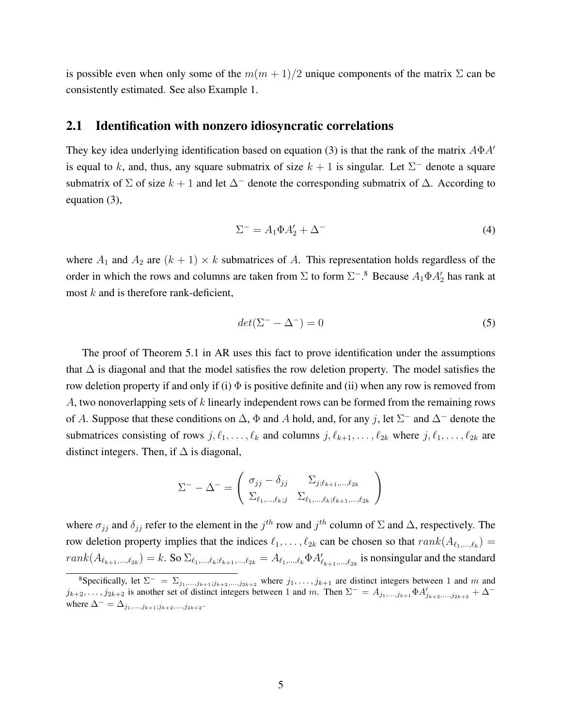is possible even when only some of the  $m(m + 1)/2$  unique components of the matrix  $\Sigma$  can be consistently estimated. See also Example 1.

#### 2.1 Identification with nonzero idiosyncratic correlations

They key idea underlying identification based on equation (3) is that the rank of the matrix  $A\Phi A'$ is equal to k, and, thus, any square submatrix of size  $k + 1$  is singular. Let  $\Sigma^-$  denote a square submatrix of  $\Sigma$  of size  $k + 1$  and let  $\Delta^-$  denote the corresponding submatrix of  $\Delta$ . According to equation (3),

$$
\Sigma^- = A_1 \Phi A_2' + \Delta^-\tag{4}
$$

where  $A_1$  and  $A_2$  are  $(k + 1) \times k$  submatrices of A. This representation holds regardless of the order in which the rows and columns are taken from  $\Sigma$  to form  $\Sigma^{-8}$  Because  $A_1 \Phi A_2'$  has rank at most  $k$  and is therefore rank-deficient,

$$
det(\Sigma^- - \Delta^-) = 0 \tag{5}
$$

The proof of Theorem 5.1 in AR uses this fact to prove identification under the assumptions that  $\Delta$  is diagonal and that the model satisfies the row deletion property. The model satisfies the row deletion property if and only if (i)  $\Phi$  is positive definite and (ii) when any row is removed from A, two nonoverlapping sets of k linearly independent rows can be formed from the remaining rows of A. Suppose that these conditions on  $\Delta$ ,  $\Phi$  and A hold, and, for any j, let  $\Sigma^-$  and  $\Delta^-$  denote the submatrices consisting of rows  $j, \ell_1, \ldots, \ell_k$  and columns  $j, \ell_{k+1}, \ldots, \ell_{2k}$  where  $j, \ell_1, \ldots, \ell_{2k}$  are distinct integers. Then, if  $\Delta$  is diagonal,

$$
\Sigma^{-} - \Delta^{-} = \begin{pmatrix} \sigma_{jj} - \delta_{jj} & \Sigma_{j;\ell_{k+1},\dots,\ell_{2k}} \\ \Sigma_{\ell_{1},\dots,\ell_{k};j} & \Sigma_{\ell_{1},\dots,\ell_{k};\ell_{k+1},\dots,\ell_{2k}} \end{pmatrix}
$$

where  $\sigma_{jj}$  and  $\delta_{jj}$  refer to the element in the  $j^{th}$  row and  $j^{th}$  column of  $\Sigma$  and  $\Delta$ , respectively. The row deletion property implies that the indices  $\ell_1, \ldots, \ell_{2k}$  can be chosen so that  $rank(A_{\ell_1,\ldots,\ell_k}) =$  $rank(A_{\ell_{k+1},\ldots,\ell_{2k}}) = k$ . So  $\Sigma_{\ell_1,\ldots,\ell_k;\ell_{k+1},\ldots,\ell_{2k}} = A_{\ell_1,\ldots,\ell_k} \Phi A'_{\ell_{k+1},\ldots,\ell_{2k}}$  is nonsingular and the standard

<sup>&</sup>lt;sup>8</sup>Specifically, let  $\Sigma^- = \Sigma_{j_1,...,j_{k+1};j_{k+2},...,j_{2k+2}}$  where  $j_1,...,j_{k+1}$  are distinct integers between 1 and m and  $j_{k+2}, \ldots, j_{2k+2}$  is another set of distinct integers between 1 and m. Then  $\Sigma^- = A_{j_1,\ldots,j_{k+1}} \Phi A'_{j_{k+2},\ldots,j_{2k+2}} + \Delta^$ where  $\Delta^{-} = \Delta_{j_1,...,j_{k+1};j_{k+2},...,j_{2k+2}}$ .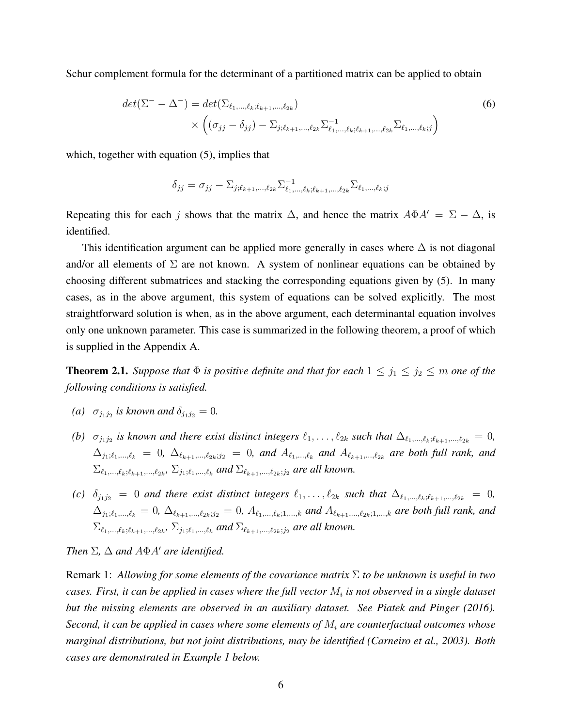Schur complement formula for the determinant of a partitioned matrix can be applied to obtain

$$
det(\Sigma^{-} - \Delta^{-}) = det(\Sigma_{\ell_1, ..., \ell_k; \ell_{k+1}, ..., \ell_{2k}})
$$
  
 
$$
\times \left( (\sigma_{jj} - \delta_{jj}) - \Sigma_{j; \ell_{k+1}, ..., \ell_{2k}} \Sigma_{\ell_1, ..., \ell_k; \ell_{k+1}, ..., \ell_{2k}}^{-1} \Sigma_{\ell_1, ..., \ell_k; j} \right)
$$
(6)

which, together with equation  $(5)$ , implies that

$$
\delta_{jj} = \sigma_{jj} - \sum_{j:\ell_{k+1},\ldots,\ell_{2k}} \sum_{\ell_1,\ldots,\ell_k;\ell_{k+1},\ldots,\ell_{2k}}^{-1} \sum_{\ell_1,\ldots,\ell_k;\jmath} \sum_{\ell_1,\ldots,\ell_k;\jmath} \sum_{\ell_1,\ldots,\ell_k;\jmath} \sum_{\ell_1,\ldots,\ell_k;\jmath} \sum_{\ell_1,\ldots,\ell_k;\jmath} \sum_{\ell_1,\ldots,\ell_k;\jmath} \sum_{\ell_1,\ldots,\ell_k;\jmath} \sum_{\ell_1,\ldots,\ell_k;\jmath} \sum_{\ell_1,\ldots,\ell_k;\jmath} \sum_{\ell_1,\ldots,\ell_k;\jmath} \sum_{\ell_1,\ldots,\ell_k;\jmath} \sum_{\ell_1,\ldots,\ell_k;\jmath} \sum_{\ell_1,\ldots,\ell_k;\jmath} \sum_{\ell_1,\ldots,\ell_k;\jmath} \sum_{\ell_1,\ldots,\ell_k;\jmath} \sum_{\ell_1,\ldots,\ell_k;\jmath} \sum_{\ell_1,\ldots,\ell_k;\jmath} \sum_{\ell_1,\ldots,\ell_k;\jmath} \sum_{\ell_1,\ldots,\ell_k;\jmath} \sum_{\ell_1,\ldots,\ell_k;\jmath} \sum_{\ell_1,\ldots,\ell_k;\jmath} \sum_{\ell_1,\ldots,\ell_k;\jmath} \sum_{\ell_1,\ldots,\ell_k;\jmath} \sum_{\ell_1,\ldots,\ell_k;\jmath} \sum_{\ell_1,\ldots,\ell_k;\jmath} \sum_{\ell_1,\ldots,\ell_k;\jmath} \sum_{\ell_1,\ldots,\ell_k;\jmath} \sum_{\ell_1,\ldots,\ell_k;\jmath} \sum_{\ell_1,\ldots,\ell_k;\jmath} \sum_{\ell_1,\ldots,\ell_k;\jmath} \sum_{\ell_1,\ldots,\ell_k;\jmath} \sum_{\ell_1,\ldots,\ell_k;\jmath} \sum_{\ell_1,\ldots,\ell_k;\jmath} \sum_{\ell_1,\ldots,\ell_k;\jmath} \sum_{\ell_1,\ldots,\ell_k;\jmath} \sum_{\ell_1,\ldots,\ell_k;\jmath} \sum_{\ell_1,\ldots,\ell_k;\jmath} \sum_{\ell_1,\ldots,\ell_k;\jmath} \sum_{\ell_1,\ldots,\ell_k;\jmath} \sum_{\ell_1,\ldots,\ell_k;\jmath} \sum_{\ell_1,\ldots,\ell_k;\jmath
$$

Repeating this for each j shows that the matrix  $\Delta$ , and hence the matrix  $A\Phi A' = \Sigma - \Delta$ , is identified.

This identification argument can be applied more generally in cases where  $\Delta$  is not diagonal and/or all elements of  $\Sigma$  are not known. A system of nonlinear equations can be obtained by choosing different submatrices and stacking the corresponding equations given by (5). In many cases, as in the above argument, this system of equations can be solved explicitly. The most straightforward solution is when, as in the above argument, each determinantal equation involves only one unknown parameter. This case is summarized in the following theorem, a proof of which is supplied in the Appendix A.

**Theorem 2.1.** *Suppose that*  $\Phi$  *is positive definite and that for each*  $1 \leq j_1 \leq j_2 \leq m$  *one of the following conditions is satisfied.*

- *(a)*  $\sigma_{j_1 j_2}$  *is known and*  $\delta_{j_1 j_2} = 0$ *.*
- *(b)*  $\sigma_{j_1j_2}$  is known and there exist distinct integers  $\ell_1, \ldots, \ell_{2k}$  such that  $\Delta_{\ell_1,\ldots,\ell_k;\ell_{k+1},\ldots,\ell_{2k}} = 0$ ,  $\Delta_{j_1;\ell_1,...,\ell_k} = 0$ ,  $\Delta_{\ell_{k+1},...,\ell_{2k};j_2} = 0$ , and  $A_{\ell_1,...,\ell_k}$  and  $A_{\ell_{k+1},..., \ell_{2k}}$  are both full rank, and  $\Sigma_{\ell_1,...,\ell_k;\ell_{k+1},..., \ell_{2k}}, \, \Sigma_{j_1;\ell_1,...,\ell_k}$  and  $\Sigma_{\ell_{k+1},...,\ell_{2k};j_2}$  are all known.
- *(c)*  $\delta_{j_1j_2} = 0$  *and there exist distinct integers*  $\ell_1, \ldots, \ell_{2k}$  *such that*  $\Delta_{\ell_1,\ldots,\ell_k;\ell_{k+1},\ldots,\ell_{2k}} = 0$ ,  $\Delta_{j_1;\ell_1,...,\ell_k} = 0$ ,  $\Delta_{\ell_{k+1},...,\ell_{2k};j_2} = 0$ ,  $A_{\ell_1,...,\ell_k;1,...,k}$  and  $A_{\ell_{k+1},...,\ell_{2k};1,...,k}$  are both full rank, and  $\Sigma_{\ell_1,...,\ell_k;\ell_{k+1},..., \ell_{2k}}, \, \Sigma_{j_1;\ell_1,...,\ell_k}$  and  $\Sigma_{\ell_{k+1},...,\ell_{2k};j_2}$  are all known.

*Then*  $\Sigma$ ,  $\Delta$  *and*  $A\Phi A'$  *are identified.* 

Remark 1: *Allowing for some elements of the covariance matrix* Σ *to be unknown is useful in two* cases. First, it can be applied in cases where the full vector  $M_i$  is not observed in a single dataset *but the missing elements are observed in an auxiliary dataset. See Piatek and Pinger (2016). Second, it can be applied in cases where some elements of* M<sup>i</sup> *are counterfactual outcomes whose marginal distributions, but not joint distributions, may be identified (Carneiro et al., 2003). Both cases are demonstrated in Example 1 below.*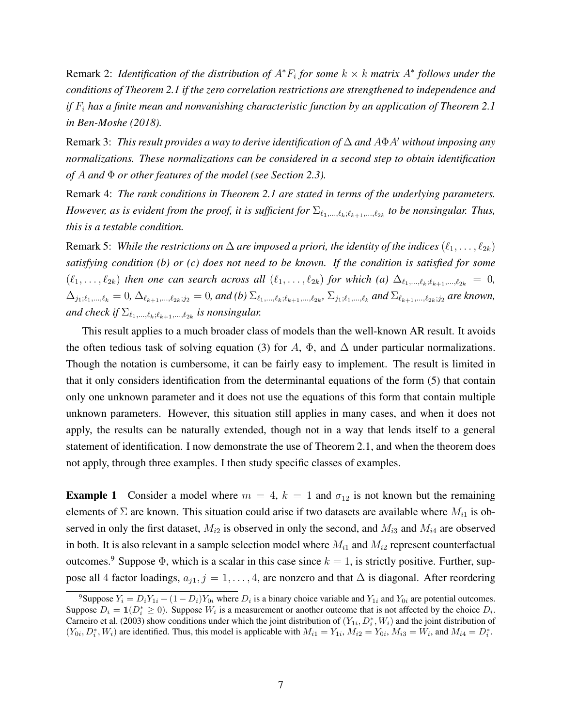Remark 2: *Identification of the distribution of*  $A^*F_i$  *for some*  $k \times k$  *matrix*  $A^*$  *follows under the conditions of Theorem 2.1 if the zero correlation restrictions are strengthened to independence and if* F<sup>i</sup> *has a finite mean and nonvanishing characteristic function by an application of Theorem 2.1 in Ben-Moshe (2018).*

Remark 3: *This result provides a way to derive identification of*  $\Delta$  *and*  $A\Phi A'$  *without imposing any normalizations. These normalizations can be considered in a second step to obtain identification of* A *and* Φ *or other features of the model (see Section 2.3).*

Remark 4: *The rank conditions in Theorem 2.1 are stated in terms of the underlying parameters. However, as is evident from the proof, it is sufficient for*  $\Sigma_{\ell_1,...,\ell_k;\ell_{k+1},..., \ell_{2k}}$  to be nonsingular. Thus, *this is a testable condition.*

Remark 5: *While the restrictions on*  $\Delta$  *are imposed a priori, the identity of the indices*  $(\ell_1, \ldots, \ell_{2k})$ *satisfying condition (b) or (c) does not need to be known. If the condition is satisfied for some*  $(\ell_1, \ldots, \ell_{2k})$  *then one can search across all*  $(\ell_1, \ldots, \ell_{2k})$  *for which (a)*  $\Delta_{\ell_1, \ldots, \ell_k; \ell_{k+1}, \ldots, \ell_{2k}} = 0$ ,  $\Delta_{j_1;\ell_1,...,\ell_k} = 0$ ,  $\Delta_{\ell_{k+1},...,\ell_{2k};j_2} = 0$ , and (b)  $\Sigma_{\ell_1,...,\ell_k;\ell_{k+1},..., \ell_{2k}}, \Sigma_{j_1;\ell_1,...,\ell_k}$  and  $\Sigma_{\ell_{k+1},...,\ell_{2k};j_2}$  are known, and check if  $\Sigma_{\ell_1,\ldots,\ell_k;\ell_{k+1},\ldots,\ell_{2k}}$  is nonsingular.

This result applies to a much broader class of models than the well-known AR result. It avoids the often tedious task of solving equation (3) for A,  $\Phi$ , and  $\Delta$  under particular normalizations. Though the notation is cumbersome, it can be fairly easy to implement. The result is limited in that it only considers identification from the determinantal equations of the form (5) that contain only one unknown parameter and it does not use the equations of this form that contain multiple unknown parameters. However, this situation still applies in many cases, and when it does not apply, the results can be naturally extended, though not in a way that lends itself to a general statement of identification. I now demonstrate the use of Theorem 2.1, and when the theorem does not apply, through three examples. I then study specific classes of examples.

**Example 1** Consider a model where  $m = 4$ ,  $k = 1$  and  $\sigma_{12}$  is not known but the remaining elements of  $\Sigma$  are known. This situation could arise if two datasets are available where  $M_{i1}$  is observed in only the first dataset,  $M_{i2}$  is observed in only the second, and  $M_{i3}$  and  $M_{i4}$  are observed in both. It is also relevant in a sample selection model where  $M_{i1}$  and  $M_{i2}$  represent counterfactual outcomes.<sup>9</sup> Suppose  $\Phi$ , which is a scalar in this case since  $k = 1$ , is strictly positive. Further, suppose all 4 factor loadings,  $a_{j1}$ ,  $j = 1, \ldots, 4$ , are nonzero and that  $\Delta$  is diagonal. After reordering

<sup>&</sup>lt;sup>9</sup>Suppose  $Y_i = D_i Y_{1i} + (1 - D_i) Y_{0i}$  where  $D_i$  is a binary choice variable and  $Y_{1i}$  and  $Y_{0i}$  are potential outcomes. Suppose  $D_i = \mathbf{1}(D_i^* \ge 0)$ . Suppose  $W_i$  is a measurement or another outcome that is not affected by the choice  $D_i$ . Carneiro et al. (2003) show conditions under which the joint distribution of  $(Y_{1i}, D_i^*, W_i)$  and the joint distribution of  $(Y_{0i}, D_i^*, W_i)$  are identified. Thus, this model is applicable with  $M_{i1} = Y_{1i}$ ,  $M_{i2} = Y_{0i}$ ,  $M_{i3} = W_i$ , and  $M_{i4} = D_i^*$ .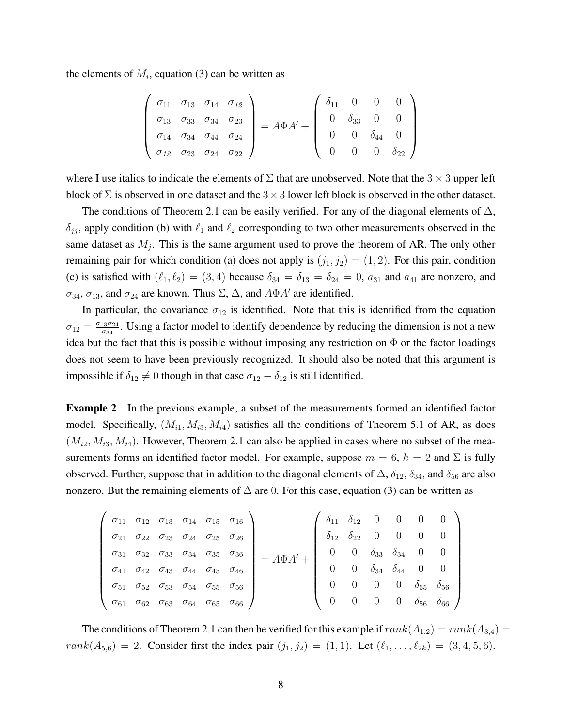the elements of  $M_i$ , equation (3) can be written as

$$
\begin{pmatrix}\n\sigma_{11} & \sigma_{13} & \sigma_{14} & \sigma_{12} \\
\sigma_{13} & \sigma_{33} & \sigma_{34} & \sigma_{23} \\
\sigma_{14} & \sigma_{34} & \sigma_{44} & \sigma_{24} \\
\sigma_{12} & \sigma_{23} & \sigma_{24} & \sigma_{22}\n\end{pmatrix} = A\Phi A' + \begin{pmatrix}\n\delta_{11} & 0 & 0 & 0 \\
0 & \delta_{33} & 0 & 0 \\
0 & 0 & \delta_{44} & 0 \\
0 & 0 & 0 & \delta_{22}\n\end{pmatrix}
$$

where I use italics to indicate the elements of  $\Sigma$  that are unobserved. Note that the 3  $\times$  3 upper left block of  $\Sigma$  is observed in one dataset and the  $3 \times 3$  lower left block is observed in the other dataset.

The conditions of Theorem 2.1 can be easily verified. For any of the diagonal elements of  $\Delta$ ,  $\delta_{ij}$ , apply condition (b) with  $\ell_1$  and  $\ell_2$  corresponding to two other measurements observed in the same dataset as  $M_j$ . This is the same argument used to prove the theorem of AR. The only other remaining pair for which condition (a) does not apply is  $(j_1, j_2) = (1, 2)$ . For this pair, condition (c) is satisfied with  $(\ell_1, \ell_2) = (3, 4)$  because  $\delta_{34} = \delta_{13} = \delta_{24} = 0$ ,  $a_{31}$  and  $a_{41}$  are nonzero, and  $\sigma_{34}$ ,  $\sigma_{13}$ , and  $\sigma_{24}$  are known. Thus  $\Sigma$ ,  $\Delta$ , and  $A\Phi A'$  are identified.

In particular, the covariance  $\sigma_{12}$  is identified. Note that this is identified from the equation  $\sigma_{12} = \frac{\sigma_{13}\sigma_{24}}{\sigma_{24}}$  $\frac{13\sigma_{24}}{\sigma_{34}}$ . Using a factor model to identify dependence by reducing the dimension is not a new idea but the fact that this is possible without imposing any restriction on  $\Phi$  or the factor loadings does not seem to have been previously recognized. It should also be noted that this argument is impossible if  $\delta_{12} \neq 0$  though in that case  $\sigma_{12} - \delta_{12}$  is still identified.

Example 2 In the previous example, a subset of the measurements formed an identified factor model. Specifically,  $(M_{i1}, M_{i3}, M_{i4})$  satisfies all the conditions of Theorem 5.1 of AR, as does  $(M_{i2}, M_{i3}, M_{i4})$ . However, Theorem 2.1 can also be applied in cases where no subset of the measurements forms an identified factor model. For example, suppose  $m = 6$ ,  $k = 2$  and  $\Sigma$  is fully observed. Further, suppose that in addition to the diagonal elements of  $\Delta$ ,  $\delta_{12}$ ,  $\delta_{34}$ , and  $\delta_{56}$  are also nonzero. But the remaining elements of  $\Delta$  are 0. For this case, equation (3) can be written as

|  |  |                                                                                     | $\sigma_{11}$ $\sigma_{12}$ $\sigma_{13}$ $\sigma_{14}$ $\sigma_{15}$ $\sigma_{16}$ |  |                                     |                                         |                |                |                             | $\int \delta_{11} \delta_{12} = 0 \qquad 0 \qquad 0 \qquad 0 \qquad$ |
|--|--|-------------------------------------------------------------------------------------|-------------------------------------------------------------------------------------|--|-------------------------------------|-----------------------------------------|----------------|----------------|-----------------------------|----------------------------------------------------------------------|
|  |  | $\sigma_{21}$ $\sigma_{22}$ $\sigma_{23}$ $\sigma_{24}$ $\sigma_{25}$ $\sigma_{26}$ |                                                                                     |  | $\delta_{12}$ $\delta_{22}$ 0 0 0 0 |                                         |                |                |                             |                                                                      |
|  |  | $\sigma_{31}$ $\sigma_{32}$ $\sigma_{33}$ $\sigma_{34}$ $\sigma_{35}$ $\sigma_{36}$ |                                                                                     |  |                                     | $0 \quad \delta_{33} \quad \delta_{34}$ |                |                | $0 \qquad 0$                |                                                                      |
|  |  | $\sigma_{41}$ $\sigma_{42}$ $\sigma_{43}$ $\sigma_{44}$ $\sigma_{45}$ $\sigma_{46}$ |                                                                                     |  | $\overline{0}$                      |                                         |                |                |                             | 0 $\delta_{34}$ $\delta_{44}$ 0 0                                    |
|  |  | $\sigma_{51}$ $\sigma_{52}$ $\sigma_{53}$ $\sigma_{54}$ $\sigma_{55}$ $\sigma_{56}$ |                                                                                     |  |                                     | $\begin{matrix}0\end{matrix}$           | $\overline{0}$ | $\overline{0}$ | $\delta_{55}$ $\delta_{56}$ |                                                                      |
|  |  | $\sigma_{61}$ $\sigma_{62}$ $\sigma_{63}$ $\sigma_{64}$ $\sigma_{65}$ $\sigma_{66}$ |                                                                                     |  |                                     |                                         | $\overline{0}$ |                |                             | 0 $\delta_{56}$ $\delta_{66}$ /                                      |

The conditions of Theorem 2.1 can then be verified for this example if  $rank(A_{1,2}) = rank(A_{3,4}) =$  $rank(A_{5,6}) = 2.$  Consider first the index pair  $(j_1, j_2) = (1, 1).$  Let  $(\ell_1, ..., \ell_{2k}) = (3, 4, 5, 6).$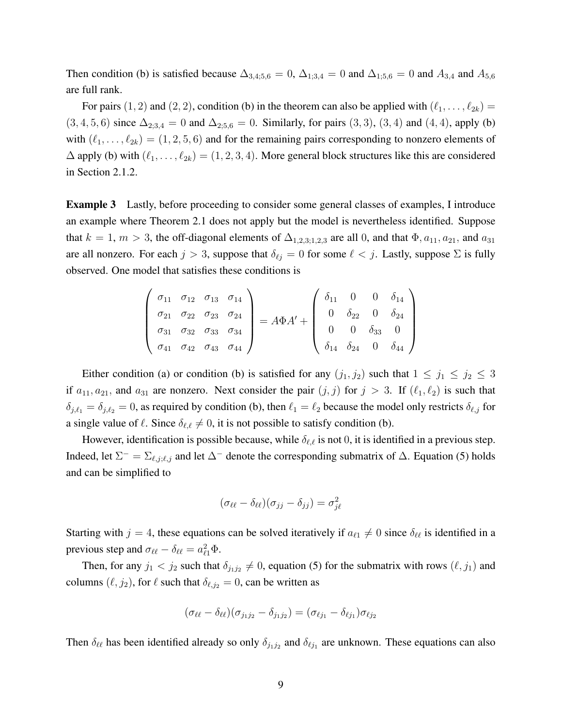Then condition (b) is satisfied because  $\Delta_{3,4;5,6} = 0$ ,  $\Delta_{1;3,4} = 0$  and  $\Delta_{1;5,6} = 0$  and  $A_{3,4}$  and  $A_{5,6}$ are full rank.

For pairs  $(1, 2)$  and  $(2, 2)$ , condition (b) in the theorem can also be applied with  $(\ell_1, \ldots, \ell_{2k}) =$  $(3, 4, 5, 6)$  since  $\Delta_{2,3,4} = 0$  and  $\Delta_{2,5,6} = 0$ . Similarly, for pairs  $(3, 3)$ ,  $(3, 4)$  and  $(4, 4)$ , apply (b) with  $(\ell_1, \ldots, \ell_{2k}) = (1, 2, 5, 6)$  and for the remaining pairs corresponding to nonzero elements of  $\Delta$  apply (b) with  $(\ell_1, \ldots, \ell_{2k}) = (1, 2, 3, 4)$ . More general block structures like this are considered in Section 2.1.2.

Example 3 Lastly, before proceeding to consider some general classes of examples, I introduce an example where Theorem 2.1 does not apply but the model is nevertheless identified. Suppose that  $k = 1, m > 3$ , the off-diagonal elements of  $\Delta_{1,2,3;1,2,3}$  are all 0, and that  $\Phi$ ,  $a_{11}$ ,  $a_{21}$ , and  $a_{31}$ are all nonzero. For each  $j > 3$ , suppose that  $\delta_{\ell j} = 0$  for some  $\ell < j$ . Lastly, suppose  $\Sigma$  is fully observed. One model that satisfies these conditions is

$$
\begin{pmatrix}\n\sigma_{11} & \sigma_{12} & \sigma_{13} & \sigma_{14} \\
\sigma_{21} & \sigma_{22} & \sigma_{23} & \sigma_{24} \\
\sigma_{31} & \sigma_{32} & \sigma_{33} & \sigma_{34} \\
\sigma_{41} & \sigma_{42} & \sigma_{43} & \sigma_{44}\n\end{pmatrix} = A\Phi A' + \begin{pmatrix}\n\delta_{11} & 0 & 0 & \delta_{14} \\
0 & \delta_{22} & 0 & \delta_{24} \\
0 & 0 & \delta_{33} & 0 \\
\delta_{14} & \delta_{24} & 0 & \delta_{44}\n\end{pmatrix}
$$

Either condition (a) or condition (b) is satisfied for any  $(j_1, j_2)$  such that  $1 \leq j_1 \leq j_2 \leq 3$ if  $a_{11}, a_{21}$ , and  $a_{31}$  are nonzero. Next consider the pair  $(j, j)$  for  $j > 3$ . If  $(\ell_1, \ell_2)$  is such that  $\delta_{j,\ell_1} = \delta_{j,\ell_2} = 0$ , as required by condition (b), then  $\ell_1 = \ell_2$  because the model only restricts  $\delta_{\ell,j}$  for a single value of  $\ell$ . Since  $\delta_{\ell,\ell} \neq 0$ , it is not possible to satisfy condition (b).

However, identification is possible because, while  $\delta_{\ell,\ell}$  is not 0, it is identified in a previous step. Indeed, let  $\Sigma^- = \Sigma_{\ell,j;\ell,j}$  and let  $\Delta^-$  denote the corresponding submatrix of  $\Delta$ . Equation (5) holds and can be simplified to

$$
(\sigma_{\ell\ell} - \delta_{\ell\ell})(\sigma_{jj} - \delta_{jj}) = \sigma_{j\ell}^2
$$

Starting with  $j = 4$ , these equations can be solved iteratively if  $a_{\ell 1} \neq 0$  since  $\delta_{\ell \ell}$  is identified in a previous step and  $\sigma_{\ell\ell} - \delta_{\ell\ell} = a_{\ell 1}^2 \Phi$ .

Then, for any  $j_1 < j_2$  such that  $\delta_{j_1 j_2} \neq 0$ , equation (5) for the submatrix with rows  $(\ell, j_1)$  and columns  $(\ell, j_2)$ , for  $\ell$  such that  $\delta_{\ell, j_2} = 0$ , can be written as

$$
(\sigma_{\ell\ell} - \delta_{\ell\ell})(\sigma_{j_1j_2} - \delta_{j_1j_2}) = (\sigma_{\ell j_1} - \delta_{\ell j_1})\sigma_{\ell j_2}
$$

Then  $\delta_{\ell\ell}$  has been identified already so only  $\delta_{j_1j_2}$  and  $\delta_{\ell j_1}$  are unknown. These equations can also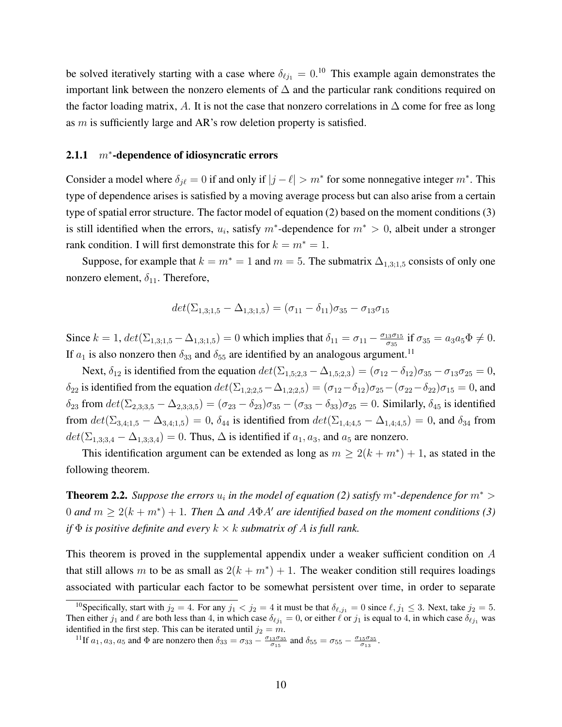be solved iteratively starting with a case where  $\delta_{\ell j_1} = 0.^{10}$  This example again demonstrates the important link between the nonzero elements of ∆ and the particular rank conditions required on the factor loading matrix, A. It is not the case that nonzero correlations in  $\Delta$  come for free as long as m is sufficiently large and AR's row deletion property is satisfied.

#### $2.1.1$  $m^*$ -dependence of idiosyncratic errors

Consider a model where  $\delta_{j\ell} = 0$  if and only if  $|j - \ell| > m^*$  for some nonnegative integer  $m^*$ . This type of dependence arises is satisfied by a moving average process but can also arise from a certain type of spatial error structure. The factor model of equation (2) based on the moment conditions (3) is still identified when the errors,  $u_i$ , satisfy  $m^*$ -dependence for  $m^* > 0$ , albeit under a stronger rank condition. I will first demonstrate this for  $k = m^* = 1$ .

Suppose, for example that  $k = m^* = 1$  and  $m = 5$ . The submatrix  $\Delta_{1,3;1,5}$  consists of only one nonzero element,  $\delta_{11}$ . Therefore,

$$
det(\Sigma_{1,3;1,5} - \Delta_{1,3;1,5}) = (\sigma_{11} - \delta_{11})\sigma_{35} - \sigma_{13}\sigma_{15}
$$

Since  $k = 1$ ,  $det(\Sigma_{1,3;1,5} - \Delta_{1,3;1,5}) = 0$  which implies that  $\delta_{11} = \sigma_{11} - \frac{\sigma_{13}\sigma_{15}}{\sigma_{25}}$  $\frac{13\sigma_{15}}{\sigma_{35}}$  if  $\sigma_{35} = a_3 a_5 \Phi \neq 0$ . If  $a_1$  is also nonzero then  $\delta_{33}$  and  $\delta_{55}$  are identified by an analogous argument.<sup>11</sup>

Next,  $\delta_{12}$  is identified from the equation  $det(\Sigma_{1,5;2,3} - \Delta_{1,5;2,3}) = (\sigma_{12} - \delta_{12})\sigma_{35} - \sigma_{13}\sigma_{25} = 0$ , δ<sub>22</sub> is identified from the equation  $det(\Sigma_{1,2;2,5}-\Delta_{1,2;2,5}) = (\sigma_{12}-\delta_{12})\sigma_{25}-(\sigma_{22}-\delta_{22})\sigma_{15} = 0$ , and  $\delta_{23}$  from  $det(\Sigma_{2,3;3,5} - \Delta_{2,3;3,5}) = (\sigma_{23} - \delta_{23})\sigma_{35} - (\sigma_{33} - \delta_{33})\sigma_{25} = 0$ . Similarly,  $\delta_{45}$  is identified from  $det(\Sigma_{3,4;1,5} - \Delta_{3,4;1,5}) = 0$ ,  $\delta_{44}$  is identified from  $det(\Sigma_{1,4;4,5} - \Delta_{1,4;4,5}) = 0$ , and  $\delta_{34}$  from  $det(\Sigma_{1,3,3,4} - \Delta_{1,3,3,4}) = 0$ . Thus,  $\Delta$  is identified if  $a_1, a_3$ , and  $a_5$  are nonzero.

This identification argument can be extended as long as  $m \ge 2(k + m^*) + 1$ , as stated in the following theorem.

**Theorem 2.2.** Suppose the errors  $u_i$  in the model of equation (2) satisfy  $m^*$ -dependence for  $m^*$  > 0 and  $m \ge 2(k+m^*) + 1$ . Then  $\Delta$  and  $A\Phi A'$  are identified based on the moment conditions (3) *if* Φ *is positive definite and every* k × k *submatrix of* A *is full rank.*

This theorem is proved in the supplemental appendix under a weaker sufficient condition on A that still allows m to be as small as  $2(k + m^*) + 1$ . The weaker condition still requires loadings associated with particular each factor to be somewhat persistent over time, in order to separate

<sup>&</sup>lt;sup>10</sup>Specifically, start with  $j_2 = 4$ . For any  $j_1 < j_2 = 4$  it must be that  $\delta_{\ell, j_1} = 0$  since  $\ell, j_1 \leq 3$ . Next, take  $j_2 = 5$ . Then either  $j_1$  and  $\ell$  are both less than 4, in which case  $\delta_{\ell j_1} = 0$ , or either  $\ell$  or  $j_1$  is equal to 4, in which case  $\delta_{\ell j_1}$  was identified in the first step. This can be iterated until  $j_2 = m$ .

<sup>&</sup>lt;sup>11</sup>If  $a_1, a_3, a_5$  and  $\Phi$  are nonzero then  $\delta_{33} = \sigma_{33} - \frac{\sigma_{13}\sigma_{35}}{\sigma_{15}}$  and  $\delta_{55} = \sigma_{55} - \frac{\sigma_{15}\sigma_{35}}{\sigma_{13}}$ .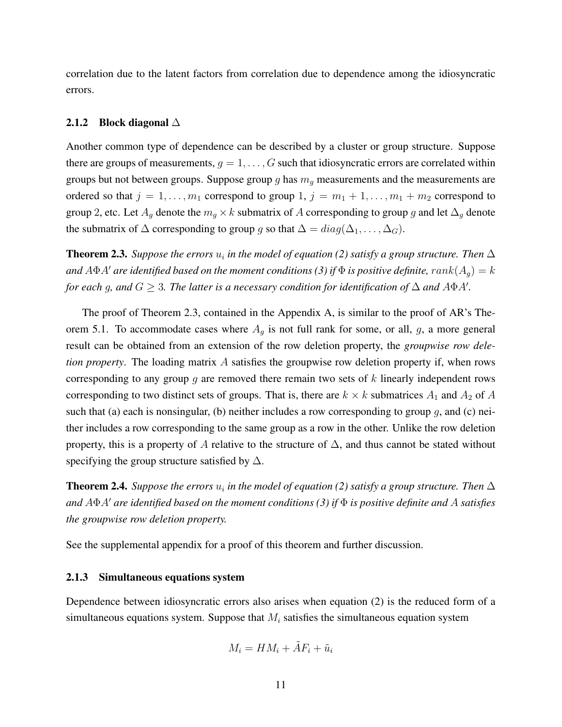correlation due to the latent factors from correlation due to dependence among the idiosyncratic errors.

#### 2.1.2 Block diagonal  $\triangle$

Another common type of dependence can be described by a cluster or group structure. Suppose there are groups of measurements,  $g = 1, \ldots, G$  such that idiosyncratic errors are correlated within groups but not between groups. Suppose group g has  $m<sub>g</sub>$  measurements and the measurements are ordered so that  $j = 1, \ldots, m_1$  correspond to group  $1, j = m_1 + 1, \ldots, m_1 + m_2$  correspond to group 2, etc. Let  $A_g$  denote the  $m_g \times k$  submatrix of A corresponding to group g and let  $\Delta_g$  denote the submatrix of  $\Delta$  corresponding to group g so that  $\Delta = diag(\Delta_1, \ldots, \Delta_G)$ .

**Theorem 2.3.** Suppose the errors  $u_i$  in the model of equation (2) satisfy a group structure. Then  $\Delta$ *and*  $A\Phi A'$  *are identified based on the moment conditions (3) if*  $\Phi$  *is positive definite,*  $rank(A_g) = k$ *for each g, and*  $G \geq 3$ . The latter is a necessary condition for identification of  $\Delta$  and  $A\Phi A'$ .

The proof of Theorem 2.3, contained in the Appendix A, is similar to the proof of AR's Theorem 5.1. To accommodate cases where  $A<sub>g</sub>$  is not full rank for some, or all, g, a more general result can be obtained from an extension of the row deletion property, the *groupwise row deletion property*. The loading matrix A satisfies the groupwise row deletion property if, when rows corresponding to any group  $q$  are removed there remain two sets of  $k$  linearly independent rows corresponding to two distinct sets of groups. That is, there are  $k \times k$  submatrices  $A_1$  and  $A_2$  of A such that (a) each is nonsingular, (b) neither includes a row corresponding to group  $g$ , and (c) neither includes a row corresponding to the same group as a row in the other. Unlike the row deletion property, this is a property of A relative to the structure of  $\Delta$ , and thus cannot be stated without specifying the group structure satisfied by  $\Delta$ .

**Theorem 2.4.** Suppose the errors  $u_i$  in the model of equation (2) satisfy a group structure. Then  $\Delta$ *and* AΦA<sup>0</sup> *are identified based on the moment conditions (3) if* Φ *is positive definite and* A *satisfies the groupwise row deletion property.*

See the supplemental appendix for a proof of this theorem and further discussion.

#### 2.1.3 Simultaneous equations system

Dependence between idiosyncratic errors also arises when equation (2) is the reduced form of a simultaneous equations system. Suppose that  $M_i$  satisfies the simultaneous equation system

$$
M_i = HM_i + \tilde{A}F_i + \tilde{u}_i
$$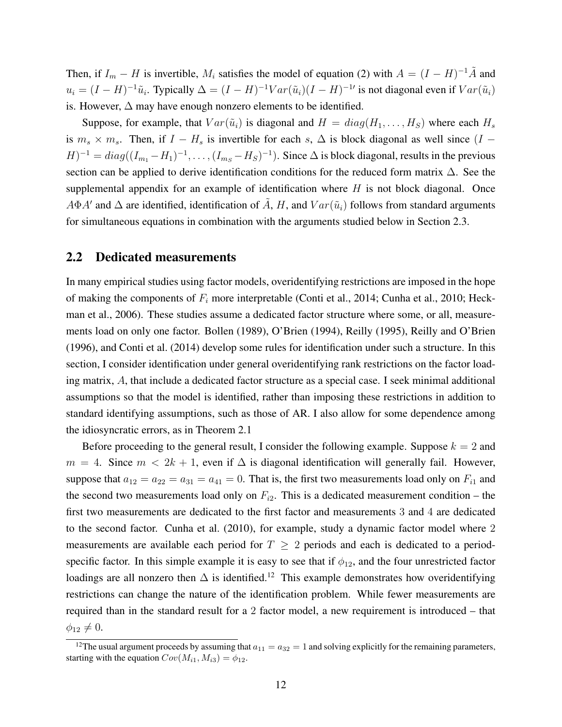Then, if  $I_m - H$  is invertible,  $M_i$  satisfies the model of equation (2) with  $A = (I - H)^{-1} \tilde{A}$  and  $u_i = (I - H)^{-1} \tilde{u}_i$ . Typically  $\Delta = (I - H)^{-1} \text{Var}(\tilde{u}_i) (I - H)^{-1}$  is not diagonal even if  $\text{Var}(\tilde{u}_i)$ is. However,  $\Delta$  may have enough nonzero elements to be identified.

Suppose, for example, that  $Var(\tilde{u}_i)$  is diagonal and  $H = diag(H_1, \ldots, H_S)$  where each  $H_s$ is  $m_s \times m_s$ . Then, if  $I - H_s$  is invertible for each s,  $\Delta$  is block diagonal as well since  $(I (H)^{-1} = diag((I_{m_1} - H_1)^{-1}, \dots, (I_{m_S} - H_S)^{-1})$ . Since  $\Delta$  is block diagonal, results in the previous section can be applied to derive identification conditions for the reduced form matrix  $\Delta$ . See the supplemental appendix for an example of identification where  $H$  is not block diagonal. Once  $A\Phi A'$  and  $\Delta$  are identified, identification of  $\tilde{A}$ ,  $H$ , and  $Var(\tilde{u}_i)$  follows from standard arguments for simultaneous equations in combination with the arguments studied below in Section 2.3.

#### 2.2 Dedicated measurements

In many empirical studies using factor models, overidentifying restrictions are imposed in the hope of making the components of  $F_i$  more interpretable (Conti et al., 2014; Cunha et al., 2010; Heckman et al., 2006). These studies assume a dedicated factor structure where some, or all, measurements load on only one factor. Bollen (1989), O'Brien (1994), Reilly (1995), Reilly and O'Brien (1996), and Conti et al. (2014) develop some rules for identification under such a structure. In this section, I consider identification under general overidentifying rank restrictions on the factor loading matrix, A, that include a dedicated factor structure as a special case. I seek minimal additional assumptions so that the model is identified, rather than imposing these restrictions in addition to standard identifying assumptions, such as those of AR. I also allow for some dependence among the idiosyncratic errors, as in Theorem 2.1

Before proceeding to the general result, I consider the following example. Suppose  $k = 2$  and  $m = 4$ . Since  $m < 2k + 1$ , even if  $\Delta$  is diagonal identification will generally fail. However, suppose that  $a_{12} = a_{22} = a_{31} = a_{41} = 0$ . That is, the first two measurements load only on  $F_{i1}$  and the second two measurements load only on  $F_{i2}$ . This is a dedicated measurement condition – the first two measurements are dedicated to the first factor and measurements 3 and 4 are dedicated to the second factor. Cunha et al. (2010), for example, study a dynamic factor model where 2 measurements are available each period for  $T \geq 2$  periods and each is dedicated to a periodspecific factor. In this simple example it is easy to see that if  $\phi_{12}$ , and the four unrestricted factor loadings are all nonzero then  $\Delta$  is identified.<sup>12</sup> This example demonstrates how overidentifying restrictions can change the nature of the identification problem. While fewer measurements are required than in the standard result for a 2 factor model, a new requirement is introduced – that  $\phi_{12} \neq 0.$ 

<sup>&</sup>lt;sup>12</sup>The usual argument proceeds by assuming that  $a_{11} = a_{32} = 1$  and solving explicitly for the remaining parameters, starting with the equation  $Cov(M_{i1}, M_{i3}) = \phi_{12}$ .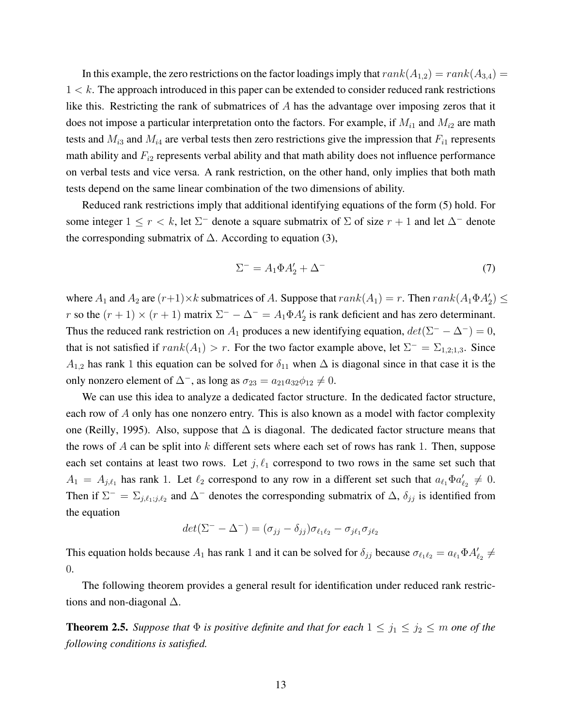In this example, the zero restrictions on the factor loadings imply that  $rank(A_{1,2}) = rank(A_{3,4}) =$  $1 < k$ . The approach introduced in this paper can be extended to consider reduced rank restrictions like this. Restricting the rank of submatrices of A has the advantage over imposing zeros that it does not impose a particular interpretation onto the factors. For example, if  $M_{i1}$  and  $M_{i2}$  are math tests and  $M_{i3}$  and  $M_{i4}$  are verbal tests then zero restrictions give the impression that  $F_{i1}$  represents math ability and  $F_{i2}$  represents verbal ability and that math ability does not influence performance on verbal tests and vice versa. A rank restriction, on the other hand, only implies that both math tests depend on the same linear combination of the two dimensions of ability.

Reduced rank restrictions imply that additional identifying equations of the form (5) hold. For some integer  $1 \le r < k$ , let  $\Sigma^-$  denote a square submatrix of  $\Sigma$  of size  $r + 1$  and let  $\Delta^-$  denote the corresponding submatrix of  $\Delta$ . According to equation (3),

$$
\Sigma^- = A_1 \Phi A_2' + \Delta^-\tag{7}
$$

where  $A_1$  and  $A_2$  are  $(r+1) \times k$  submatrices of A. Suppose that  $rank(A_1) = r$ . Then  $rank(A_1 \Phi A_2') \leq$ r so the  $(r + 1) \times (r + 1)$  matrix  $\Sigma^- - \Delta^- = A_1 \Phi A_2'$  is rank deficient and has zero determinant. Thus the reduced rank restriction on  $A_1$  produces a new identifying equation,  $det(\Sigma^- - \Delta^-) = 0$ , that is not satisfied if  $rank(A_1) > r$ . For the two factor example above, let  $\Sigma^- = \Sigma_{1,2;1,3}$ . Since  $A_{1,2}$  has rank 1 this equation can be solved for  $\delta_{11}$  when  $\Delta$  is diagonal since in that case it is the only nonzero element of  $\Delta^-$ , as long as  $\sigma_{23} = a_{21}a_{32}\phi_{12} \neq 0$ .

We can use this idea to analyze a dedicated factor structure. In the dedicated factor structure, each row of A only has one nonzero entry. This is also known as a model with factor complexity one (Reilly, 1995). Also, suppose that  $\Delta$  is diagonal. The dedicated factor structure means that the rows of A can be split into  $k$  different sets where each set of rows has rank 1. Then, suppose each set contains at least two rows. Let  $j, \ell_1$  correspond to two rows in the same set such that  $A_1 = A_{j,\ell_1}$  has rank 1. Let  $\ell_2$  correspond to any row in a different set such that  $a_{\ell_1} \Phi a'_{\ell_2} \neq 0$ . Then if  $\Sigma^- = \Sigma_{j,\ell_1;j,\ell_2}$  and  $\Delta^-$  denotes the corresponding submatrix of  $\Delta$ ,  $\delta_{jj}$  is identified from the equation

$$
det(\Sigma^{-} - \Delta^{-}) = (\sigma_{jj} - \delta_{jj})\sigma_{\ell_{1}\ell_{2}} - \sigma_{j\ell_{1}}\sigma_{j\ell_{2}}
$$

This equation holds because  $A_1$  has rank 1 and it can be solved for  $\delta_{jj}$  because  $\sigma_{\ell_1\ell_2} = a_{\ell_1}\Phi A'_{\ell_2}$   $\neq$ 0.

The following theorem provides a general result for identification under reduced rank restrictions and non-diagonal  $\Delta$ .

**Theorem 2.5.** *Suppose that*  $\Phi$  *is positive definite and that for each*  $1 \leq j_1 \leq j_2 \leq m$  *one of the following conditions is satisfied.*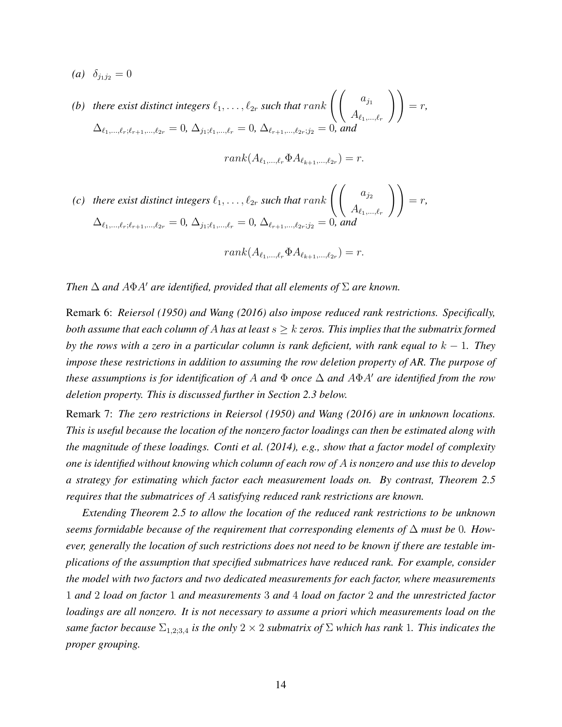*(a)*  $\delta_{j_1 j_2} = 0$ 

*(b)* there exist distinct integers  $\ell_1, \ldots, \ell_{2r}$  such that rank  $\left(\begin{array}{cc} a_{j_1} & a_{j_2} \end{array}\right)$  $A_{\ell_1,...,\ell_r}$  $\Big)$  = r,  $\Delta_{\ell_1,...,\ell_r;\ell_{r+1},..., \ell_{2r}} = 0, \, \Delta_{j_1;\ell_1,...,\ell_r} = 0, \, \Delta_{\ell_{r+1},...,\ell_{2r};j_2} = 0, \, \text{and}$ 

$$
rank(A_{\ell_1,\ldots,\ell_r}\Phi A_{\ell_{k+1},\ldots,\ell_{2r}})=r.
$$

*(c)* there exist distinct integers  $\ell_1, \ldots, \ell_{2r}$  such that rank  $\left(\begin{array}{cc} a_{j_2} & a_{j_3} \\ a_{j_4} & a_{j_4} \end{array}\right)$  $A_{\ell_1,...,\ell_r}$  $\Big)$  = r,  $\Delta_{\ell_1,\ldots,\ell_r;\ell_{r+1},\ldots,\ell_{2r}} = 0, \, \Delta_{j_1;\ell_1,\ldots,\ell_r} = 0, \, \Delta_{\ell_{r+1},\ldots,\ell_{2r};j_2} = 0, \, \text{and}$ 

$$
rank(A_{\ell_1,\ldots,\ell_r}\Phi A_{\ell_{k+1},\ldots,\ell_{2r}})=r.
$$

*Then*  $\Delta$  *and*  $A\Phi A'$  *are identified, provided that all elements of*  $\Sigma$  *are known.* 

Remark 6: *Reiersol (1950) and Wang (2016) also impose reduced rank restrictions. Specifically, both assume that each column of A has at least*  $s \geq k$  *zeros. This implies that the submatrix formed by the rows with a zero in a particular column is rank deficient, with rank equal to*  $k - 1$ *. They impose these restrictions in addition to assuming the row deletion property of AR. The purpose of these assumptions is for identification of* A *and*  $\Phi$  *once*  $\Delta$  *and*  $A\Phi A'$  *are identified from the row deletion property. This is discussed further in Section 2.3 below.*

Remark 7: *The zero restrictions in Reiersol (1950) and Wang (2016) are in unknown locations. This is useful because the location of the nonzero factor loadings can then be estimated along with the magnitude of these loadings. Conti et al. (2014), e.g., show that a factor model of complexity one is identified without knowing which column of each row of* A *is nonzero and use this to develop a strategy for estimating which factor each measurement loads on. By contrast, Theorem 2.5 requires that the submatrices of* A *satisfying reduced rank restrictions are known.*

*Extending Theorem 2.5 to allow the location of the reduced rank restrictions to be unknown seems formidable because of the requirement that corresponding elements of* ∆ *must be* 0*. However, generally the location of such restrictions does not need to be known if there are testable implications of the assumption that specified submatrices have reduced rank. For example, consider the model with two factors and two dedicated measurements for each factor, where measurements* 1 *and* 2 *load on factor* 1 *and measurements* 3 *and* 4 *load on factor* 2 *and the unrestricted factor loadings are all nonzero. It is not necessary to assume a priori which measurements load on the same factor because*  $\Sigma_{1,2;3,4}$  *is the only*  $2 \times 2$  *submatrix of*  $\Sigma$  *which has rank* 1*. This indicates the proper grouping.*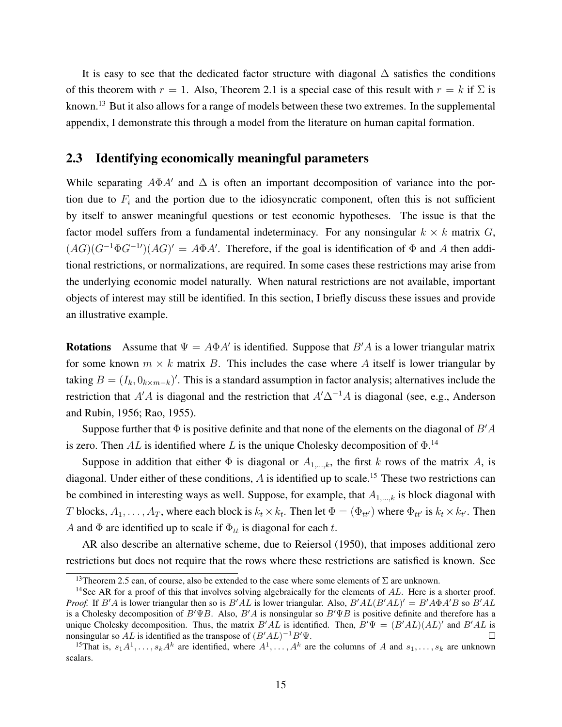It is easy to see that the dedicated factor structure with diagonal  $\Delta$  satisfies the conditions of this theorem with  $r = 1$ . Also, Theorem 2.1 is a special case of this result with  $r = k$  if  $\Sigma$  is known.<sup>13</sup> But it also allows for a range of models between these two extremes. In the supplemental appendix, I demonstrate this through a model from the literature on human capital formation.

#### 2.3 Identifying economically meaningful parameters

While separating  $A\Phi A'$  and  $\Delta$  is often an important decomposition of variance into the portion due to  $F_i$  and the portion due to the idiosyncratic component, often this is not sufficient by itself to answer meaningful questions or test economic hypotheses. The issue is that the factor model suffers from a fundamental indeterminacy. For any nonsingular  $k \times k$  matrix  $G$ ,  $(AG)(G^{-1}\Phi G^{-1})$  $(AG)' = A\Phi A'$ . Therefore, if the goal is identification of  $\Phi$  and A then additional restrictions, or normalizations, are required. In some cases these restrictions may arise from the underlying economic model naturally. When natural restrictions are not available, important objects of interest may still be identified. In this section, I briefly discuss these issues and provide an illustrative example.

**Rotations** Assume that  $\Psi = A\Phi A'$  is identified. Suppose that  $B'A$  is a lower triangular matrix for some known  $m \times k$  matrix B. This includes the case where A itself is lower triangular by taking  $B = (I_k, 0_{k \times m-k})'$ . This is a standard assumption in factor analysis; alternatives include the restriction that A'A is diagonal and the restriction that  $A' \Delta^{-1}A$  is diagonal (see, e.g., Anderson and Rubin, 1956; Rao, 1955).

Suppose further that  $\Phi$  is positive definite and that none of the elements on the diagonal of  $B'A$ is zero. Then AL is identified where L is the unique Cholesky decomposition of  $\Phi$ .<sup>14</sup>

Suppose in addition that either  $\Phi$  is diagonal or  $A_{1,\dots,k}$ , the first k rows of the matrix A, is diagonal. Under either of these conditions,  $\hat{A}$  is identified up to scale.<sup>15</sup> These two restrictions can be combined in interesting ways as well. Suppose, for example, that  $A_{1,\dots,k}$  is block diagonal with T blocks,  $A_1, \ldots, A_T$ , where each block is  $k_t \times k_t$ . Then let  $\Phi = (\Phi_{tt'})$  where  $\Phi_{tt'}$  is  $k_t \times k_{t'}$ . Then A and  $\Phi$  are identified up to scale if  $\Phi_{tt}$  is diagonal for each t.

AR also describe an alternative scheme, due to Reiersol (1950), that imposes additional zero restrictions but does not require that the rows where these restrictions are satisfied is known. See

<sup>&</sup>lt;sup>13</sup>Theorem 2.5 can, of course, also be extended to the case where some elements of  $\Sigma$  are unknown.

<sup>&</sup>lt;sup>14</sup>See AR for a proof of this that involves solving algebraically for the elements of  $AL$ . Here is a shorter proof. *Proof.* If  $B'A$  is lower triangular then so is  $B'AL$  is lower triangular. Also,  $B'AL(B'AL)' = B'A\Phi A'B$  so  $B'AL$ is a Cholesky decomposition of  $B'\Psi B$ . Also,  $B'A$  is nonsingular so  $B'\Psi B$  is positive definite and therefore has a unique Cholesky decomposition. Thus, the matrix  $B'AL$  is identified. Then,  $B'\Psi = (B'AL)(AL)'$  and  $B'AL$  is nonsingular so AL is identified as the transpose of  $(B'AL)^{-1}B'\Psi$ . П

<sup>&</sup>lt;sup>15</sup>That is,  $s_1A^1, \ldots, s_kA^k$  are identified, where  $A^1, \ldots, A^k$  are the columns of A and  $s_1, \ldots, s_k$  are unknown scalars.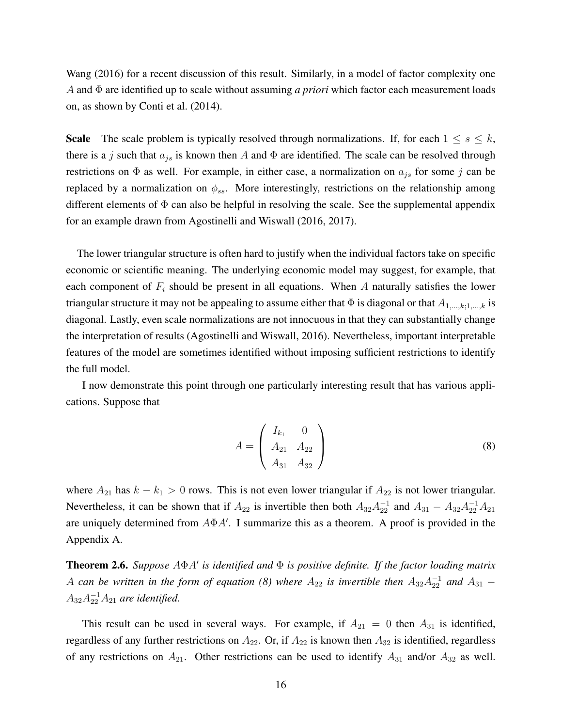Wang (2016) for a recent discussion of this result. Similarly, in a model of factor complexity one A and Φ are identified up to scale without assuming *a priori* which factor each measurement loads on, as shown by Conti et al. (2014).

**Scale** The scale problem is typically resolved through normalizations. If, for each  $1 \leq s \leq k$ , there is a j such that  $a_{j_s}$  is known then A and  $\Phi$  are identified. The scale can be resolved through restrictions on  $\Phi$  as well. For example, in either case, a normalization on  $a_{j_s}$  for some j can be replaced by a normalization on  $\phi_{ss}$ . More interestingly, restrictions on the relationship among different elements of  $\Phi$  can also be helpful in resolving the scale. See the supplemental appendix for an example drawn from Agostinelli and Wiswall (2016, 2017).

The lower triangular structure is often hard to justify when the individual factors take on specific economic or scientific meaning. The underlying economic model may suggest, for example, that each component of  $F_i$  should be present in all equations. When A naturally satisfies the lower triangular structure it may not be appealing to assume either that  $\Phi$  is diagonal or that  $A_{1,...,k;1,...,k}$  is diagonal. Lastly, even scale normalizations are not innocuous in that they can substantially change the interpretation of results (Agostinelli and Wiswall, 2016). Nevertheless, important interpretable features of the model are sometimes identified without imposing sufficient restrictions to identify the full model.

I now demonstrate this point through one particularly interesting result that has various applications. Suppose that

$$
A = \begin{pmatrix} I_{k_1} & 0 \\ A_{21} & A_{22} \\ A_{31} & A_{32} \end{pmatrix}
$$
 (8)

where  $A_{21}$  has  $k - k_1 > 0$  rows. This is not even lower triangular if  $A_{22}$  is not lower triangular. Nevertheless, it can be shown that if  $A_{22}$  is invertible then both  $A_{32}A_{22}^{-1}$  and  $A_{31} - A_{32}A_{22}^{-1}A_{21}$ are uniquely determined from  $A\Phi A'$ . I summarize this as a theorem. A proof is provided in the Appendix A.

**Theorem 2.6.** *Suppose A* $\Phi A'$  *is identified and*  $\Phi$  *is positive definite. If the factor loading matrix* A can be written in the form of equation (8) where  $A_{22}$  is invertible then  $A_{32}A_{22}^{-1}$  and  $A_{31}$  –  $A_{32}A_{22}^{-1}A_{21}$  are identified.

This result can be used in several ways. For example, if  $A_{21} = 0$  then  $A_{31}$  is identified, regardless of any further restrictions on  $A_{22}$ . Or, if  $A_{22}$  is known then  $A_{32}$  is identified, regardless of any restrictions on  $A_{21}$ . Other restrictions can be used to identify  $A_{31}$  and/or  $A_{32}$  as well.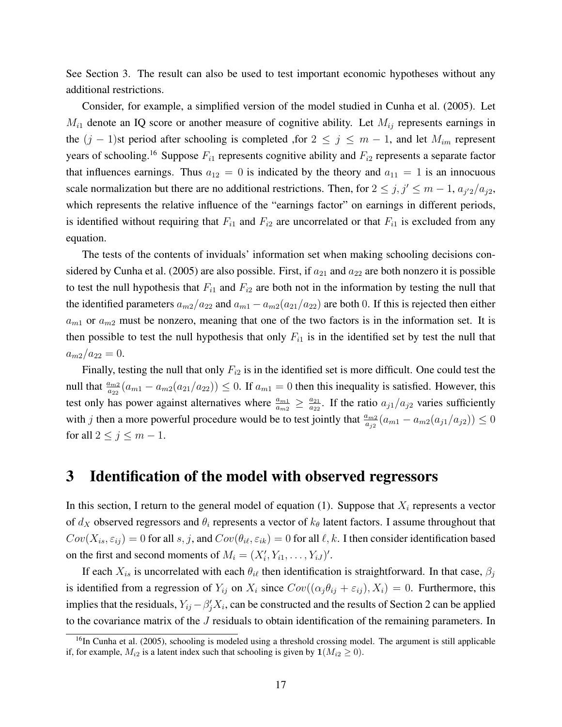See Section 3. The result can also be used to test important economic hypotheses without any additional restrictions.

Consider, for example, a simplified version of the model studied in Cunha et al. (2005). Let  $M_{i1}$  denote an IQ score or another measure of cognitive ability. Let  $M_{ij}$  represents earnings in the  $(j - 1)$ st period after schooling is completed ,for  $2 \le j \le m - 1$ , and let  $M_{im}$  represent years of schooling.<sup>16</sup> Suppose  $F_{i1}$  represents cognitive ability and  $F_{i2}$  represents a separate factor that influences earnings. Thus  $a_{12} = 0$  is indicated by the theory and  $a_{11} = 1$  is an innocuous scale normalization but there are no additional restrictions. Then, for  $2 \leq j, j' \leq m-1, a_{j'2}/a_{j2}$ , which represents the relative influence of the "earnings factor" on earnings in different periods, is identified without requiring that  $F_{i1}$  and  $F_{i2}$  are uncorrelated or that  $F_{i1}$  is excluded from any equation.

The tests of the contents of inviduals' information set when making schooling decisions considered by Cunha et al. (2005) are also possible. First, if  $a_{21}$  and  $a_{22}$  are both nonzero it is possible to test the null hypothesis that  $F_{i1}$  and  $F_{i2}$  are both not in the information by testing the null that the identified parameters  $a_{m2}/a_{22}$  and  $a_{m1} - a_{m2}(a_{21}/a_{22})$  are both 0. If this is rejected then either  $a_{m1}$  or  $a_{m2}$  must be nonzero, meaning that one of the two factors is in the information set. It is then possible to test the null hypothesis that only  $F_{i1}$  is in the identified set by test the null that  $a_{m2}/a_{22}=0.$ 

Finally, testing the null that only  $F_{i2}$  is in the identified set is more difficult. One could test the null that  $\frac{a_{m2}}{a_{22}}(a_{m1} - a_{m2}(a_{21}/a_{22})) \le 0$ . If  $a_{m1} = 0$  then this inequality is satisfied. However, this test only has power against alternatives where  $\frac{a_{m1}}{a_{m2}} \geq \frac{a_{21}}{a_{22}}$  $\frac{a_{21}}{a_{22}}$ . If the ratio  $a_{j1}/a_{j2}$  varies sufficiently with j then a more powerful procedure would be to test jointly that  $\frac{a_{m2}}{a_{j2}}(a_{m1} - a_{m2}(a_{j1}/a_{j2})) \le 0$ for all  $2 \leq j \leq m-1$ .

### 3 Identification of the model with observed regressors

In this section, I return to the general model of equation (1). Suppose that  $X_i$  represents a vector of  $d_X$  observed regressors and  $\theta_i$  represents a vector of  $k_\theta$  latent factors. I assume throughout that  $Cov(X_{is}, \varepsilon_{ij}) = 0$  for all s, j, and  $Cov(\theta_{i\ell}, \varepsilon_{ik}) = 0$  for all  $\ell, k$ . I then consider identification based on the first and second moments of  $M_i = (X'_i, Y_{i1}, \dots, Y_{iJ})'$ .

If each  $X_{is}$  is uncorrelated with each  $\theta_{i\ell}$  then identification is straightforward. In that case,  $\beta_i$ is identified from a regression of  $Y_{ij}$  on  $X_i$  since  $Cov((\alpha_j \theta_{ij} + \varepsilon_{ij}), X_i) = 0$ . Furthermore, this implies that the residuals,  $Y_{ij} - \beta'_j X_i$ , can be constructed and the results of Section 2 can be applied to the covariance matrix of the J residuals to obtain identification of the remaining parameters. In

 $16$ In Cunha et al. (2005), schooling is modeled using a threshold crossing model. The argument is still applicable if, for example,  $M_{i2}$  is a latent index such that schooling is given by  $\mathbf{1}(M_{i2} \geq 0)$ .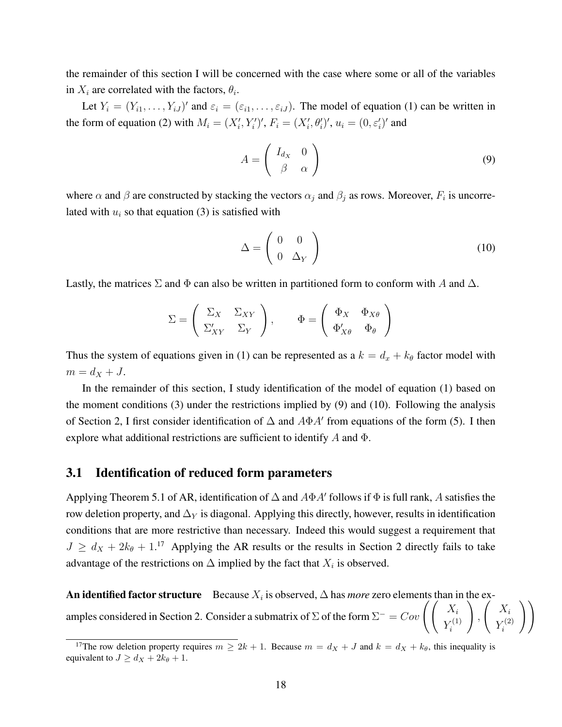the remainder of this section I will be concerned with the case where some or all of the variables in  $X_i$  are correlated with the factors,  $\theta_i$ .

Let  $Y_i = (Y_{i1}, \ldots, Y_{iJ})'$  and  $\varepsilon_i = (\varepsilon_{i1}, \ldots, \varepsilon_{iJ})$ . The model of equation (1) can be written in the form of equation (2) with  $M_i = (X_i', Y_i')', F_i = (X_i', \theta_i')', u_i = (0, \varepsilon_i')'$  and

$$
A = \begin{pmatrix} I_{d_X} & 0 \\ \beta & \alpha \end{pmatrix}
$$
 (9)

where  $\alpha$  and  $\beta$  are constructed by stacking the vectors  $\alpha_j$  and  $\beta_j$  as rows. Moreover,  $F_i$  is uncorrelated with  $u_i$  so that equation (3) is satisfied with

$$
\Delta = \left(\begin{array}{cc} 0 & 0 \\ 0 & \Delta_Y \end{array}\right) \tag{10}
$$

 $Y_i^{(1)}$ i

 $\setminus$ ,  $\left( X_i \right)$  $Y_i^{(2)}$ i

 $\setminus$ 

Lastly, the matrices  $\Sigma$  and  $\Phi$  can also be written in partitioned form to conform with A and  $\Delta$ .

$$
\Sigma = \begin{pmatrix} \Sigma_X & \Sigma_{XY} \\ \Sigma'_{XY} & \Sigma_Y \end{pmatrix}, \qquad \Phi = \begin{pmatrix} \Phi_X & \Phi_{X\theta} \\ \Phi'_{X\theta} & \Phi_{\theta} \end{pmatrix}
$$

Thus the system of equations given in (1) can be represented as a  $k = d_x + k_\theta$  factor model with  $m=d_X+J$ .

In the remainder of this section, I study identification of the model of equation (1) based on the moment conditions  $(3)$  under the restrictions implied by  $(9)$  and  $(10)$ . Following the analysis of Section 2, I first consider identification of  $\Delta$  and  $A\Phi A'$  from equations of the form (5). I then explore what additional restrictions are sufficient to identify A and Φ.

#### 3.1 Identification of reduced form parameters

Applying Theorem 5.1 of AR, identification of  $\Delta$  and  $A\Phi A'$  follows if  $\Phi$  is full rank, A satisfies the row deletion property, and  $\Delta_Y$  is diagonal. Applying this directly, however, results in identification conditions that are more restrictive than necessary. Indeed this would suggest a requirement that  $J \geq d_X + 2k_{\theta} + 1$ <sup>17</sup> Applying the AR results or the results in Section 2 directly fails to take advantage of the restrictions on  $\Delta$  implied by the fact that  $X_i$  is observed.

An identified factor structure Because  $X_i$  is observed,  $\Delta$  has *more* zero elements than in the ex-

amples considered in Section 2. Consider a submatrix of  $\Sigma$  of the form  $\Sigma^- = Cov \left( \begin{pmatrix} X_i \\ X_{i+1} \end{pmatrix} \right)$ 

<sup>&</sup>lt;sup>17</sup>The row deletion property requires  $m \ge 2k + 1$ . Because  $m = d_X + J$  and  $k = d_X + k_\theta$ , this inequality is equivalent to  $J \ge d_X + 2k_\theta + 1$ .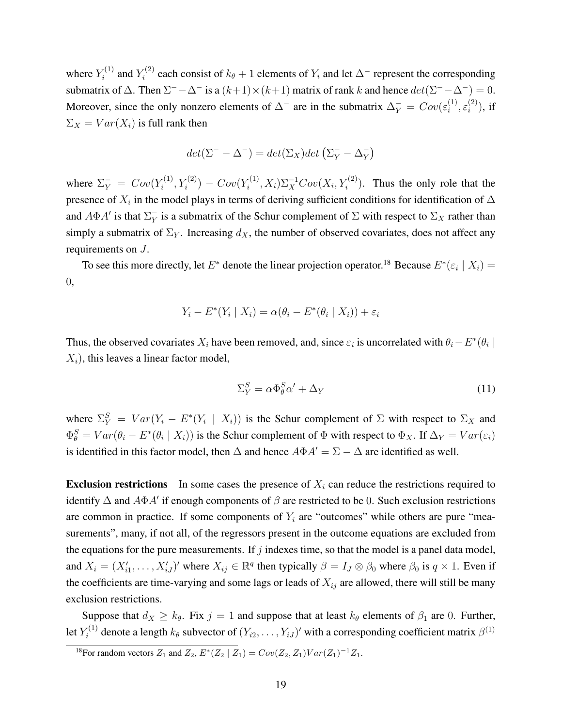where  $Y_i^{(1)}$  $Y_i^{(1)}$  and  $Y_i^{(2)}$  $i^{(2)}$  each consist of  $k_{\theta} + 1$  elements of  $Y_i$  and let  $\Delta^-$  represent the corresponding submatrix of  $\Delta$ . Then  $\Sigma^- - \Delta^-$  is a  $(k+1) \times (k+1)$  matrix of rank k and hence  $det(\Sigma^- - \Delta^-) = 0$ . Moreover, since the only nonzero elements of  $\Delta^-$  are in the submatrix  $\Delta_Y^- = Cov(\varepsilon_i^{(1)})$  $\binom{1}{i}, \varepsilon_i^{(2)}$  $i^{(2)}$ , if  $\Sigma_X = Var(X_i)$  is full rank then

$$
det(\Sigma^- - \Delta^-) = det(\Sigma_X)det(\Sigma_Y^- - \Delta_Y^-)
$$

where  $\Sigma_Y^- = Cov(Y_i^{(1)})$  $Y_i^{(1)}, Y_i^{(2)}$ ) –  $Cov(Y_i^{(1)})$  $\chi_i^{(1)}$ ,  $X_i$ ) $\Sigma_X^{-1}Cov(X_i, Y_i^{(2)})$ . Thus the only role that the presence of  $X_i$  in the model plays in terms of deriving sufficient conditions for identification of  $\Delta$ and  $A\Phi A'$  is that  $\Sigma_Y^ _Y^-$  is a submatrix of the Schur complement of  $\Sigma$  with respect to  $\Sigma_X$  rather than simply a submatrix of  $\Sigma_Y$ . Increasing  $d_X$ , the number of observed covariates, does not affect any requirements on J.

To see this more directly, let  $E^*$  denote the linear projection operator.<sup>18</sup> Because  $E^*(\varepsilon_i \mid X_i) =$ 0,

$$
Y_i - E^*(Y_i \mid X_i) = \alpha(\theta_i - E^*(\theta_i \mid X_i)) + \varepsilon_i
$$

Thus, the observed covariates  $X_i$  have been removed, and, since  $\varepsilon_i$  is uncorrelated with  $\theta_i - E^*(\theta_i)$  $X_i$ , this leaves a linear factor model,

$$
\Sigma_Y^S = \alpha \Phi_\theta^S \alpha' + \Delta_Y \tag{11}
$$

where  $\Sigma_Y^S = Var(Y_i - E^*(Y_i \mid X_i))$  is the Schur complement of  $\Sigma$  with respect to  $\Sigma_X$  and  $\Phi_{\theta}^{S} = Var(\theta_i - E^*(\theta_i \mid X_i))$  is the Schur complement of  $\Phi$  with respect to  $\Phi_X$ . If  $\Delta_Y = Var(\varepsilon_i)$ is identified in this factor model, then  $\Delta$  and hence  $A\Phi A' = \Sigma - \Delta$  are identified as well.

**Exclusion restrictions** In some cases the presence of  $X_i$  can reduce the restrictions required to identify  $\Delta$  and  $A\Phi A'$  if enough components of  $\beta$  are restricted to be 0. Such exclusion restrictions are common in practice. If some components of  $Y_i$  are "outcomes" while others are pure "measurements", many, if not all, of the regressors present in the outcome equations are excluded from the equations for the pure measurements. If  $j$  indexes time, so that the model is a panel data model, and  $X_i = (X'_{i1}, \dots, X'_{iJ})'$  where  $X_{ij} \in \mathbb{R}^q$  then typically  $\beta = I_J \otimes \beta_0$  where  $\beta_0$  is  $q \times 1$ . Even if the coefficients are time-varying and some lags or leads of  $X_{ij}$  are allowed, there will still be many exclusion restrictions.

Suppose that  $d_X \ge k_\theta$ . Fix  $j = 1$  and suppose that at least  $k_\theta$  elements of  $\beta_1$  are 0. Further, let  $Y_i^{(1)}$  $k_{i}^{(1)}$  denote a length  $k_{\theta}$  subvector of  $(Y_{i2}, \ldots, Y_{iJ})'$  with a corresponding coefficient matrix  $\beta^{(1)}$ 

<sup>&</sup>lt;sup>18</sup>For random vectors  $Z_1$  and  $Z_2$ ,  $E^*(Z_2 | Z_1) = Cov(Z_2, Z_1)Var(Z_1)^{-1}Z_1$ .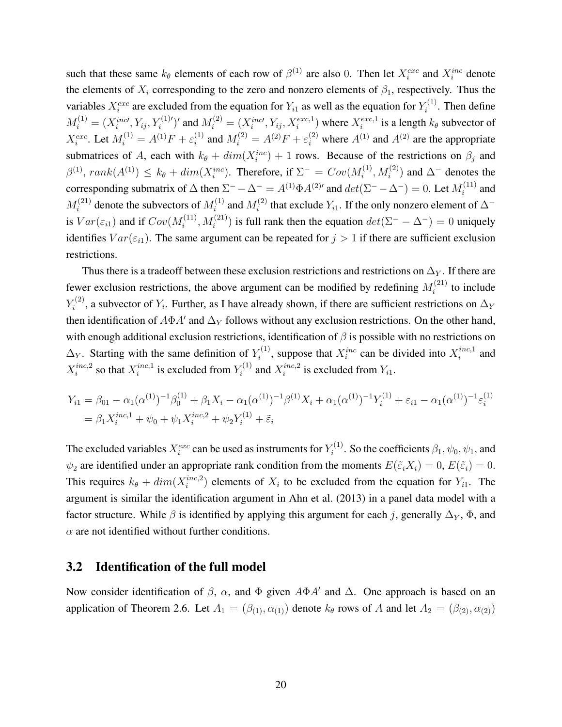such that these same  $k_{\theta}$  elements of each row of  $\beta^{(1)}$  are also 0. Then let  $X_i^{exc}$  and  $X_i^{inc}$  denote the elements of  $X_i$  corresponding to the zero and nonzero elements of  $\beta_1$ , respectively. Thus the variables  $X_i^{exc}$  are excluded from the equation for  $Y_{i1}$  as well as the equation for  $Y_i^{(1)}$  $i^{(1)}$ . Then define  $M_i^{(1)} = (X_i^{inc}, Y_{ij}, Y_i^{(1)'}')'$  and  $M_i^{(2)} = (X_i^{inc}, Y_{ij}, X_i^{exc,1})$  where  $X_i^{exc,1}$  $e^{exc,1}$  is a length  $k_{\theta}$  subvector of  $X_i^{exc}$ . Let  $M_i^{(1)} = A^{(1)}F + \varepsilon_i^{(1)}$  $i_i^{(1)}$  and  $M_i^{(2)} = A^{(2)}F + \varepsilon_i^{(2)}$  where  $A^{(1)}$  and  $A^{(2)}$  are the appropriate submatrices of A, each with  $k_{\theta} + dim(X_i^{inc}) + 1$  rows. Because of the restrictions on  $\beta_j$  and  $\beta^{(1)}$ ,  $rank(A^{(1)}) \leq k_{\theta} + dim(X_i^{inc})$ . Therefore, if  $\Sigma^- = Cov(M_i^{(1)})$  $\lambda_i^{(1)}$ ,  $M_i^{(2)}$ ) and  $\Delta^-$  denotes the corresponding submatrix of  $\Delta$  then  $\Sigma^- - \Delta^- = A^{(1)} \Phi A^{(2)'}$  and  $det(\Sigma^- - \Delta^-) = 0$ . Let  $M_i^{(11)}$  $i^{(11)}$  and  $M_i^{(21)}$  $\mathcal{U}_i^{(21)}$  denote the subvectors of  $M_i^{(1)}$  $i^{(1)}$  and  $M_i^{(2)}$ <sup>(2)</sup> that exclude  $Y_{i1}$ . If the only nonzero element of  $\Delta^$ is  $Var(\varepsilon_{i1})$  and if  $Cov(M_i^{(11)})$  $i_i^{(11)}, M_i^{(21)}$ ) is full rank then the equation  $det(\Sigma^- - \Delta^-) = 0$  uniquely identifies  $Var(\epsilon_{i1})$ . The same argument can be repeated for  $j > 1$  if there are sufficient exclusion restrictions.

Thus there is a tradeoff between these exclusion restrictions and restrictions on  $\Delta_Y$ . If there are fewer exclusion restrictions, the above argument can be modified by redefining  $M_i^{(21)}$  $i^{(21)}$  to include  $Y_i^{(2)}$  $Y_i^{(2)}$ , a subvector of  $Y_i$ . Further, as I have already shown, if there are sufficient restrictions on  $\Delta_Y$ then identification of  $A\Phi A'$  and  $\Delta_Y$  follows without any exclusion restrictions. On the other hand, with enough additional exclusion restrictions, identification of  $\beta$  is possible with no restrictions on  $\Delta_Y$ . Starting with the same definition of  $Y_i^{(1)}$  $X_i^{(1)}$ , suppose that  $X_i^{inc}$  can be divided into  $X_i^{inc,1}$  $i^{inc,1}$  and  $X_i^{inc,2}$  $i^{inc,2}$  so that  $X_i^{inc,1}$  $i^{inc,1}$  is excluded from  $Y_i^{(1)}$  $\chi_i^{(1)}$  and  $X_i^{inc,2}$  $i^{inc,2}$  is excluded from  $Y_{i1}$ .

$$
Y_{i1} = \beta_{01} - \alpha_1 (\alpha^{(1)})^{-1} \beta_0^{(1)} + \beta_1 X_i - \alpha_1 (\alpha^{(1)})^{-1} \beta^{(1)} X_i + \alpha_1 (\alpha^{(1)})^{-1} Y_i^{(1)} + \varepsilon_{i1} - \alpha_1 (\alpha^{(1)})^{-1} \varepsilon_i^{(1)}
$$
  
=  $\beta_1 X_i^{inc,1} + \psi_0 + \psi_1 X_i^{inc,2} + \psi_2 Y_i^{(1)} + \tilde{\varepsilon}_i$ 

The excluded variables  $X_i^{exc}$  can be used as instruments for  $Y_i^{(1)}$  $\zeta_i^{(1)}$ . So the coefficients  $\beta_1, \psi_0, \psi_1$ , and  $\psi_2$  are identified under an appropriate rank condition from the moments  $E(\tilde{\varepsilon}_i X_i) = 0$ ,  $E(\tilde{\varepsilon}_i) = 0$ . This requires  $k_{\theta} + dim(X_i^{inc,2})$  $i^{inc,2}$ ) elements of  $X_i$  to be excluded from the equation for  $Y_{i1}$ . The argument is similar the identification argument in Ahn et al. (2013) in a panel data model with a factor structure. While  $\beta$  is identified by applying this argument for each j, generally  $\Delta_Y$ ,  $\Phi$ , and  $\alpha$  are not identified without further conditions.

### 3.2 Identification of the full model

Now consider identification of  $\beta$ ,  $\alpha$ , and  $\Phi$  given  $A\Phi A'$  and  $\Delta$ . One approach is based on an application of Theorem 2.6. Let  $A_1 = (\beta_{(1)}, \alpha_{(1)})$  denote  $k_\theta$  rows of A and let  $A_2 = (\beta_{(2)}, \alpha_{(2)})$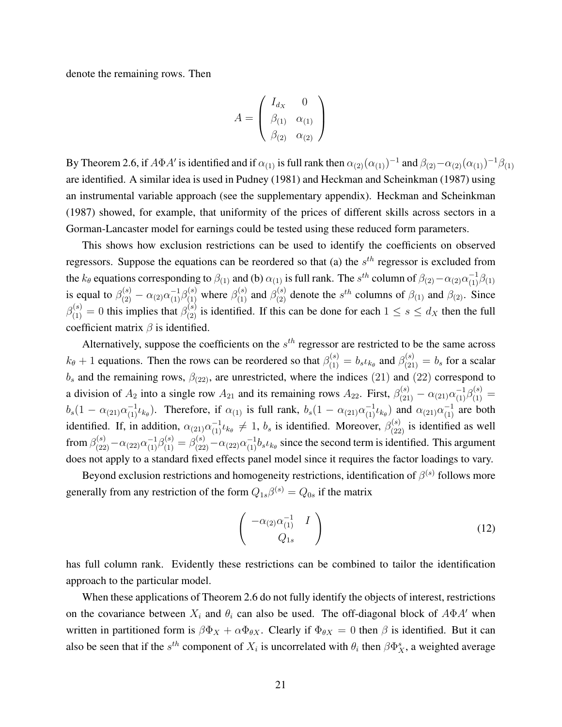denote the remaining rows. Then

$$
A = \begin{pmatrix} I_{d_X} & 0 \\ \beta_{(1)} & \alpha_{(1)} \\ \beta_{(2)} & \alpha_{(2)} \end{pmatrix}
$$

By Theorem 2.6, if  $A\Phi A'$  is identified and if  $\alpha_{(1)}$  is full rank then  $\alpha_{(2)}(\alpha_{(1)})^{-1}$  and  $\beta_{(2)}-\alpha_{(2)}(\alpha_{(1)})^{-1}\beta_{(1)}$ are identified. A similar idea is used in Pudney (1981) and Heckman and Scheinkman (1987) using an instrumental variable approach (see the supplementary appendix). Heckman and Scheinkman (1987) showed, for example, that uniformity of the prices of different skills across sectors in a Gorman-Lancaster model for earnings could be tested using these reduced form parameters.

This shows how exclusion restrictions can be used to identify the coefficients on observed regressors. Suppose the equations can be reordered so that (a) the  $s^{th}$  regressor is excluded from the  $k_\theta$  equations corresponding to  $\beta_{(1)}$  and (b)  $\alpha_{(1)}$  is full rank. The  $s^{th}$  column of  $\beta_{(2)}-\alpha_{(2)}\alpha_{(1)}^{-1}\beta_{(1)}$ is equal to  $\beta_{(2)}^{(s)} - \alpha_{(2)} \alpha_{(1)}^{-1} \beta_{(1)}^{(s)}$  where  $\beta_{(1)}^{(s)}$  and  $\beta_{(2)}^{(s)}$  denote the  $s^{th}$  columns of  $\beta_{(1)}$  and  $\beta_{(2)}$ . Since  $\beta_{(1)}^{(s)}=0$  this implies that  $\beta_{(2)}^{(s)}$  is identified. If this can be done for each  $1 \le s \le d_X$  then the full coefficient matrix  $\beta$  is identified.

Alternatively, suppose the coefficients on the  $s<sup>th</sup>$  regressor are restricted to be the same across  $k_{\theta}$  + 1 equations. Then the rows can be reordered so that  $\beta_{(1)}^{(s)} = b_s \iota_{k_{\theta}}$  and  $\beta_{(21)}^{(s)} = b_s$  for a scalar  $b_s$  and the remaining rows,  $\beta_{(22)}$ , are unrestricted, where the indices (21) and (22) correspond to a division of  $A_2$  into a single row  $A_{21}$  and its remaining rows  $A_{22}$ . First,  $\beta_{(21)}^{(s)} - \alpha_{(21)}\alpha_{(1)}^{-1}\beta_{(1)}^{(s)} =$  $b_s(1-\alpha_{(21)}\alpha_{(1)}^{-1}\iota_{k_\theta})$ . Therefore, if  $\alpha_{(1)}$  is full rank,  $b_s(1-\alpha_{(21)}\alpha_{(1)}^{-1}\iota_{k_\theta})$  and  $\alpha_{(21)}\alpha_{(1)}^{-1}$  are both identified. If, in addition,  $\alpha_{(21)}\alpha_{(1)}^{-1}\iota_{k_\theta} \neq 1$ ,  $b_s$  is identified. Moreover,  $\beta_{(22)}^{(s)}$  is identified as well from  $\beta_{(22)}^{(s)} - \alpha_{(22)} \alpha_{(1)}^{-1} \beta_{(1)}^{(s)} = \beta_{(22)}^{(s)} - \alpha_{(22)} \alpha_{(1)}^{-1} b_s \iota_{k_\theta}$  since the second term is identified. This argument does not apply to a standard fixed effects panel model since it requires the factor loadings to vary.

Beyond exclusion restrictions and homogeneity restrictions, identification of  $\beta^{(s)}$  follows more generally from any restriction of the form  $Q_{1s}\beta^{(s)} = Q_{0s}$  if the matrix

$$
\begin{pmatrix}\n-\alpha_{(2)}\alpha_{(1)}^{-1} & I \\
Q_{1s}\n\end{pmatrix}
$$
\n(12)

has full column rank. Evidently these restrictions can be combined to tailor the identification approach to the particular model.

When these applications of Theorem 2.6 do not fully identify the objects of interest, restrictions on the covariance between  $X_i$  and  $\theta_i$  can also be used. The off-diagonal block of  $A\Phi A'$  when written in partitioned form is  $\beta \Phi_X + \alpha \Phi_{\theta X}$ . Clearly if  $\Phi_{\theta X} = 0$  then  $\beta$  is identified. But it can also be seen that if the  $s^{th}$  component of  $X_i$  is uncorrelated with  $\theta_i$  then  $\beta \Phi_X^s$ , a weighted average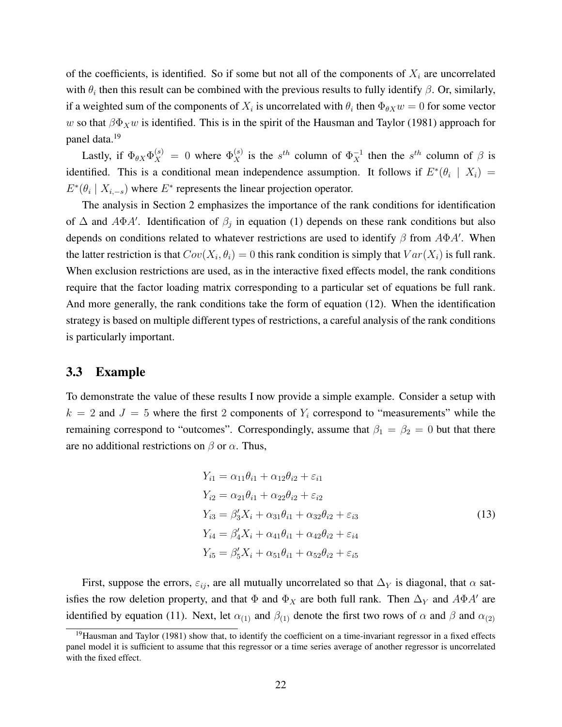of the coefficients, is identified. So if some but not all of the components of  $X_i$  are uncorrelated with  $\theta_i$  then this result can be combined with the previous results to fully identify  $\beta$ . Or, similarly, if a weighted sum of the components of  $X_i$  is uncorrelated with  $\theta_i$  then  $\Phi_{\theta X}w = 0$  for some vector w so that  $\beta \Phi_X w$  is identified. This is in the spirit of the Hausman and Taylor (1981) approach for panel data.<sup>19</sup>

Lastly, if  $\Phi_{\theta X} \Phi_X^{(s)} = 0$  where  $\Phi_X^{(s)}$  is the  $s^{th}$  column of  $\Phi_X^{-1}$  then the  $s^{th}$  column of  $\beta$  is identified. This is a conditional mean independence assumption. It follows if  $E^*(\theta_i | X_i) =$  $E^*(\theta_i | X_{i,-s})$  where  $E^*$  represents the linear projection operator.

The analysis in Section 2 emphasizes the importance of the rank conditions for identification of  $\Delta$  and  $A\Phi A'$ . Identification of  $\beta_j$  in equation (1) depends on these rank conditions but also depends on conditions related to whatever restrictions are used to identify  $\beta$  from  $A\Phi A'$ . When the latter restriction is that  $Cov(X_i, \theta_i) = 0$  this rank condition is simply that  $Var(X_i)$  is full rank. When exclusion restrictions are used, as in the interactive fixed effects model, the rank conditions require that the factor loading matrix corresponding to a particular set of equations be full rank. And more generally, the rank conditions take the form of equation (12). When the identification strategy is based on multiple different types of restrictions, a careful analysis of the rank conditions is particularly important.

#### 3.3 Example

To demonstrate the value of these results I now provide a simple example. Consider a setup with  $k = 2$  and  $J = 5$  where the first 2 components of  $Y_i$  correspond to "measurements" while the remaining correspond to "outcomes". Correspondingly, assume that  $\beta_1 = \beta_2 = 0$  but that there are no additional restrictions on  $\beta$  or  $\alpha$ . Thus,

$$
Y_{i1} = \alpha_{11}\theta_{i1} + \alpha_{12}\theta_{i2} + \varepsilon_{i1}
$$
  
\n
$$
Y_{i2} = \alpha_{21}\theta_{i1} + \alpha_{22}\theta_{i2} + \varepsilon_{i2}
$$
  
\n
$$
Y_{i3} = \beta'_{3}X_{i} + \alpha_{31}\theta_{i1} + \alpha_{32}\theta_{i2} + \varepsilon_{i3}
$$
  
\n
$$
Y_{i4} = \beta'_{4}X_{i} + \alpha_{41}\theta_{i1} + \alpha_{42}\theta_{i2} + \varepsilon_{i4}
$$
  
\n
$$
Y_{i5} = \beta'_{5}X_{i} + \alpha_{51}\theta_{i1} + \alpha_{52}\theta_{i2} + \varepsilon_{i5}
$$
  
\n(13)

First, suppose the errors,  $\varepsilon_{ij}$ , are all mutually uncorrelated so that  $\Delta_Y$  is diagonal, that  $\alpha$  satisfies the row deletion property, and that  $\Phi$  and  $\Phi_X$  are both full rank. Then  $\Delta_Y$  and  $A\Phi A'$  are identified by equation (11). Next, let  $\alpha_{(1)}$  and  $\beta_{(1)}$  denote the first two rows of  $\alpha$  and  $\beta$  and  $\alpha_{(2)}$ 

<sup>&</sup>lt;sup>19</sup>Hausman and Taylor (1981) show that, to identify the coefficient on a time-invariant regressor in a fixed effects panel model it is sufficient to assume that this regressor or a time series average of another regressor is uncorrelated with the fixed effect.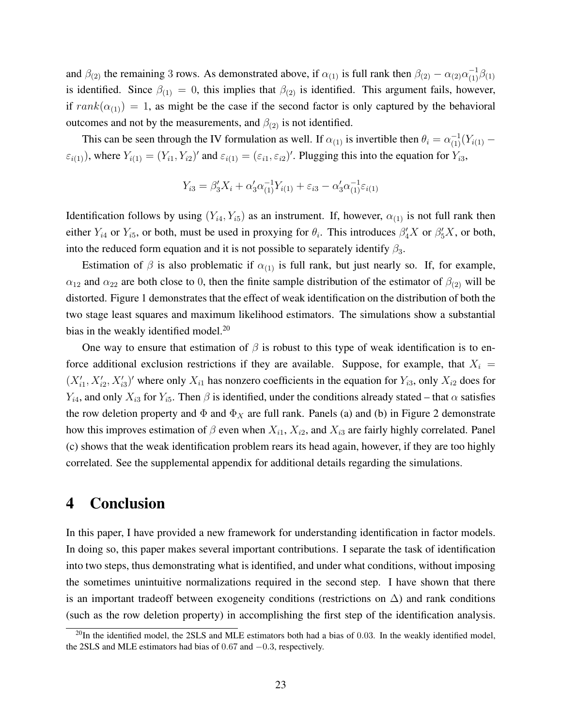and  $\beta_{(2)}$  the remaining 3 rows. As demonstrated above, if  $\alpha_{(1)}$  is full rank then  $\beta_{(2)} - \alpha_{(2)}\alpha_{(1)}^{-1}\beta_{(1)}$ is identified. Since  $\beta_{(1)} = 0$ , this implies that  $\beta_{(2)}$  is identified. This argument fails, however, if  $rank(\alpha_{(1)}) = 1$ , as might be the case if the second factor is only captured by the behavioral outcomes and not by the measurements, and  $\beta_{(2)}$  is not identified.

This can be seen through the IV formulation as well. If  $\alpha_{(1)}$  is invertible then  $\theta_i = \alpha_{(1)}^{-1}(Y_{i(1)} - \theta_i)$  $(\varepsilon_{i(1)})$ , where  $Y_{i(1)} = (Y_{i1}, Y_{i2})'$  and  $\varepsilon_{i(1)} = (\varepsilon_{i1}, \varepsilon_{i2})'$ . Plugging this into the equation for  $Y_{i3}$ ,

$$
Y_{i3} = \beta_3' X_i + \alpha_3' \alpha_{(1)}^{-1} Y_{i(1)} + \varepsilon_{i3} - \alpha_3' \alpha_{(1)}^{-1} \varepsilon_{i(1)}
$$

Identification follows by using  $(Y_{i4}, Y_{i5})$  as an instrument. If, however,  $\alpha_{(1)}$  is not full rank then either  $Y_{i4}$  or  $Y_{i5}$ , or both, must be used in proxying for  $\theta_i$ . This introduces  $\beta'_4 X$  or  $\beta'_5 X$ , or both, into the reduced form equation and it is not possible to separately identify  $\beta_3$ .

Estimation of  $\beta$  is also problematic if  $\alpha_{(1)}$  is full rank, but just nearly so. If, for example,  $\alpha_{12}$  and  $\alpha_{22}$  are both close to 0, then the finite sample distribution of the estimator of  $\beta_{(2)}$  will be distorted. Figure 1 demonstrates that the effect of weak identification on the distribution of both the two stage least squares and maximum likelihood estimators. The simulations show a substantial bias in the weakly identified model.<sup>20</sup>

One way to ensure that estimation of  $\beta$  is robust to this type of weak identification is to enforce additional exclusion restrictions if they are available. Suppose, for example, that  $X_i$  =  $(X'_{i1}, X'_{i2}, X'_{i3})'$  where only  $X_{i1}$  has nonzero coefficients in the equation for  $Y_{i3}$ , only  $X_{i2}$  does for  $Y_{i4}$ , and only  $X_{i3}$  for  $Y_{i5}$ . Then  $\beta$  is identified, under the conditions already stated – that  $\alpha$  satisfies the row deletion property and  $\Phi$  and  $\Phi_X$  are full rank. Panels (a) and (b) in Figure 2 demonstrate how this improves estimation of  $\beta$  even when  $X_{i1}$ ,  $X_{i2}$ , and  $X_{i3}$  are fairly highly correlated. Panel (c) shows that the weak identification problem rears its head again, however, if they are too highly correlated. See the supplemental appendix for additional details regarding the simulations.

### 4 Conclusion

In this paper, I have provided a new framework for understanding identification in factor models. In doing so, this paper makes several important contributions. I separate the task of identification into two steps, thus demonstrating what is identified, and under what conditions, without imposing the sometimes unintuitive normalizations required in the second step. I have shown that there is an important tradeoff between exogeneity conditions (restrictions on  $\Delta$ ) and rank conditions (such as the row deletion property) in accomplishing the first step of the identification analysis.

 $^{20}$ In the identified model, the 2SLS and MLE estimators both had a bias of 0.03. In the weakly identified model, the 2SLS and MLE estimators had bias of 0.67 and −0.3, respectively.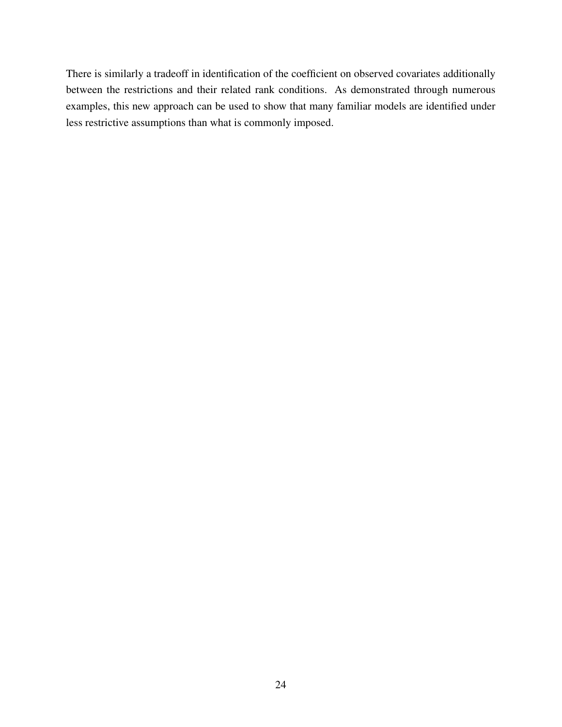There is similarly a tradeoff in identification of the coefficient on observed covariates additionally between the restrictions and their related rank conditions. As demonstrated through numerous examples, this new approach can be used to show that many familiar models are identified under less restrictive assumptions than what is commonly imposed.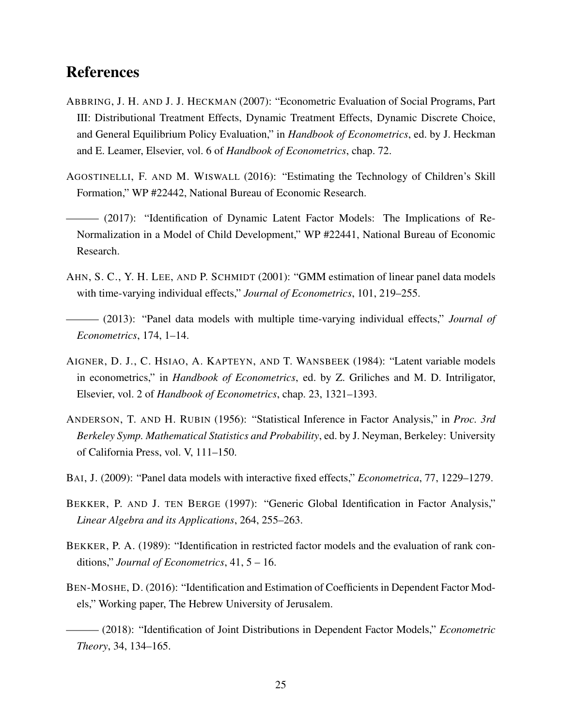### **References**

- ABBRING, J. H. AND J. J. HECKMAN (2007): "Econometric Evaluation of Social Programs, Part III: Distributional Treatment Effects, Dynamic Treatment Effects, Dynamic Discrete Choice, and General Equilibrium Policy Evaluation," in *Handbook of Econometrics*, ed. by J. Heckman and E. Leamer, Elsevier, vol. 6 of *Handbook of Econometrics*, chap. 72.
- AGOSTINELLI, F. AND M. WISWALL (2016): "Estimating the Technology of Children's Skill Formation," WP #22442, National Bureau of Economic Research.
- ——— (2017): "Identification of Dynamic Latent Factor Models: The Implications of Re-Normalization in a Model of Child Development," WP #22441, National Bureau of Economic Research.
- AHN, S. C., Y. H. LEE, AND P. SCHMIDT (2001): "GMM estimation of linear panel data models with time-varying individual effects," *Journal of Econometrics*, 101, 219–255.
- ——— (2013): "Panel data models with multiple time-varying individual effects," *Journal of Econometrics*, 174, 1–14.
- AIGNER, D. J., C. HSIAO, A. KAPTEYN, AND T. WANSBEEK (1984): "Latent variable models in econometrics," in *Handbook of Econometrics*, ed. by Z. Griliches and M. D. Intriligator, Elsevier, vol. 2 of *Handbook of Econometrics*, chap. 23, 1321–1393.
- ANDERSON, T. AND H. RUBIN (1956): "Statistical Inference in Factor Analysis," in *Proc. 3rd Berkeley Symp. Mathematical Statistics and Probability*, ed. by J. Neyman, Berkeley: University of California Press, vol. V, 111–150.
- BAI, J. (2009): "Panel data models with interactive fixed effects," *Econometrica*, 77, 1229–1279.
- BEKKER, P. AND J. TEN BERGE (1997): "Generic Global Identification in Factor Analysis," *Linear Algebra and its Applications*, 264, 255–263.
- BEKKER, P. A. (1989): "Identification in restricted factor models and the evaluation of rank conditions," *Journal of Econometrics*, 41, 5 – 16.
- BEN-MOSHE, D. (2016): "Identification and Estimation of Coefficients in Dependent Factor Models," Working paper, The Hebrew University of Jerusalem.

——— (2018): "Identification of Joint Distributions in Dependent Factor Models," *Econometric Theory*, 34, 134–165.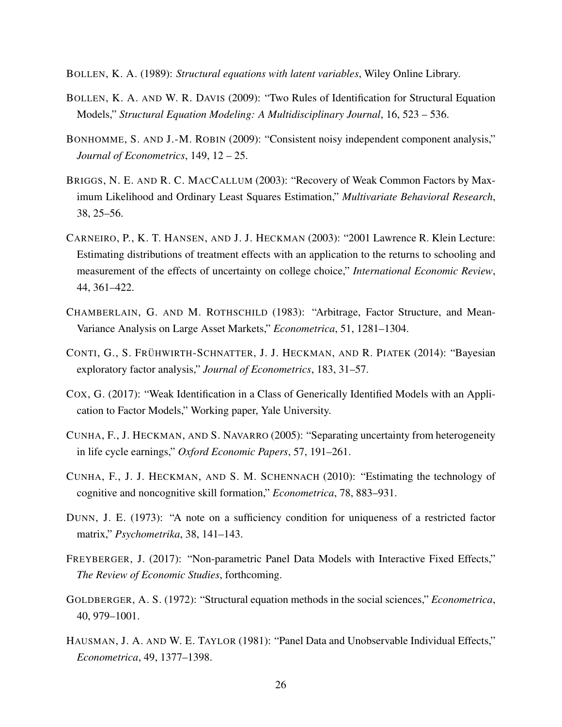BOLLEN, K. A. (1989): *Structural equations with latent variables*, Wiley Online Library.

- BOLLEN, K. A. AND W. R. DAVIS (2009): "Two Rules of Identification for Structural Equation Models," *Structural Equation Modeling: A Multidisciplinary Journal*, 16, 523 – 536.
- BONHOMME, S. AND J.-M. ROBIN (2009): "Consistent noisy independent component analysis," *Journal of Econometrics*, 149, 12 – 25.
- BRIGGS, N. E. AND R. C. MACCALLUM (2003): "Recovery of Weak Common Factors by Maximum Likelihood and Ordinary Least Squares Estimation," *Multivariate Behavioral Research*, 38, 25–56.
- CARNEIRO, P., K. T. HANSEN, AND J. J. HECKMAN (2003): "2001 Lawrence R. Klein Lecture: Estimating distributions of treatment effects with an application to the returns to schooling and measurement of the effects of uncertainty on college choice," *International Economic Review*, 44, 361–422.
- CHAMBERLAIN, G. AND M. ROTHSCHILD (1983): "Arbitrage, Factor Structure, and Mean-Variance Analysis on Large Asset Markets," *Econometrica*, 51, 1281–1304.
- CONTI, G., S. FRÜHWIRTH-SCHNATTER, J. J. HECKMAN, AND R. PIATEK (2014): "Bayesian exploratory factor analysis," *Journal of Econometrics*, 183, 31–57.
- COX, G. (2017): "Weak Identification in a Class of Generically Identified Models with an Application to Factor Models," Working paper, Yale University.
- CUNHA, F., J. HECKMAN, AND S. NAVARRO (2005): "Separating uncertainty from heterogeneity in life cycle earnings," *Oxford Economic Papers*, 57, 191–261.
- CUNHA, F., J. J. HECKMAN, AND S. M. SCHENNACH (2010): "Estimating the technology of cognitive and noncognitive skill formation," *Econometrica*, 78, 883–931.
- DUNN, J. E. (1973): "A note on a sufficiency condition for uniqueness of a restricted factor matrix," *Psychometrika*, 38, 141–143.
- FREYBERGER, J. (2017): "Non-parametric Panel Data Models with Interactive Fixed Effects," *The Review of Economic Studies*, forthcoming.
- GOLDBERGER, A. S. (1972): "Structural equation methods in the social sciences," *Econometrica*, 40, 979–1001.
- HAUSMAN, J. A. AND W. E. TAYLOR (1981): "Panel Data and Unobservable Individual Effects," *Econometrica*, 49, 1377–1398.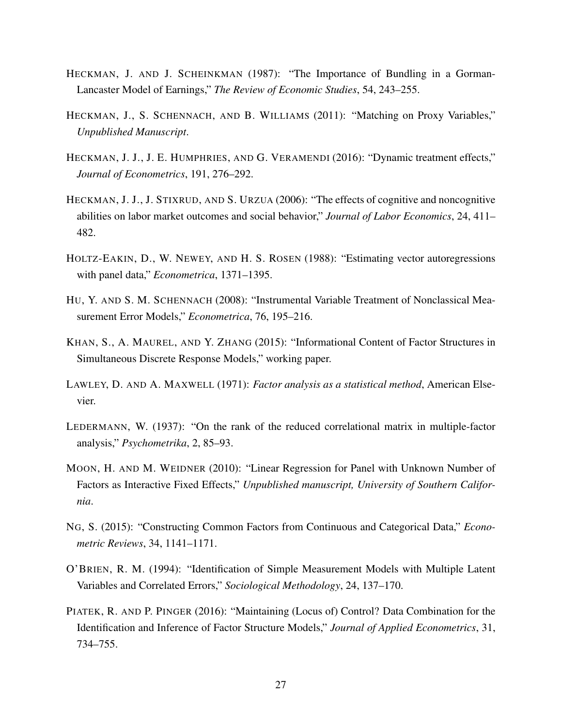- HECKMAN, J. AND J. SCHEINKMAN (1987): "The Importance of Bundling in a Gorman-Lancaster Model of Earnings," *The Review of Economic Studies*, 54, 243–255.
- HECKMAN, J., S. SCHENNACH, AND B. WILLIAMS (2011): "Matching on Proxy Variables," *Unpublished Manuscript*.
- HECKMAN, J. J., J. E. HUMPHRIES, AND G. VERAMENDI (2016): "Dynamic treatment effects," *Journal of Econometrics*, 191, 276–292.
- HECKMAN, J. J., J. STIXRUD, AND S. URZUA (2006): "The effects of cognitive and noncognitive abilities on labor market outcomes and social behavior," *Journal of Labor Economics*, 24, 411– 482.
- HOLTZ-EAKIN, D., W. NEWEY, AND H. S. ROSEN (1988): "Estimating vector autoregressions with panel data," *Econometrica*, 1371–1395.
- HU, Y. AND S. M. SCHENNACH (2008): "Instrumental Variable Treatment of Nonclassical Measurement Error Models," *Econometrica*, 76, 195–216.
- KHAN, S., A. MAUREL, AND Y. ZHANG (2015): "Informational Content of Factor Structures in Simultaneous Discrete Response Models," working paper.
- LAWLEY, D. AND A. MAXWELL (1971): *Factor analysis as a statistical method*, American Elsevier.
- LEDERMANN, W. (1937): "On the rank of the reduced correlational matrix in multiple-factor analysis," *Psychometrika*, 2, 85–93.
- MOON, H. AND M. WEIDNER (2010): "Linear Regression for Panel with Unknown Number of Factors as Interactive Fixed Effects," *Unpublished manuscript, University of Southern California*.
- NG, S. (2015): "Constructing Common Factors from Continuous and Categorical Data," *Econometric Reviews*, 34, 1141–1171.
- O'BRIEN, R. M. (1994): "Identification of Simple Measurement Models with Multiple Latent Variables and Correlated Errors," *Sociological Methodology*, 24, 137–170.
- PIATEK, R. AND P. PINGER (2016): "Maintaining (Locus of) Control? Data Combination for the Identification and Inference of Factor Structure Models," *Journal of Applied Econometrics*, 31, 734–755.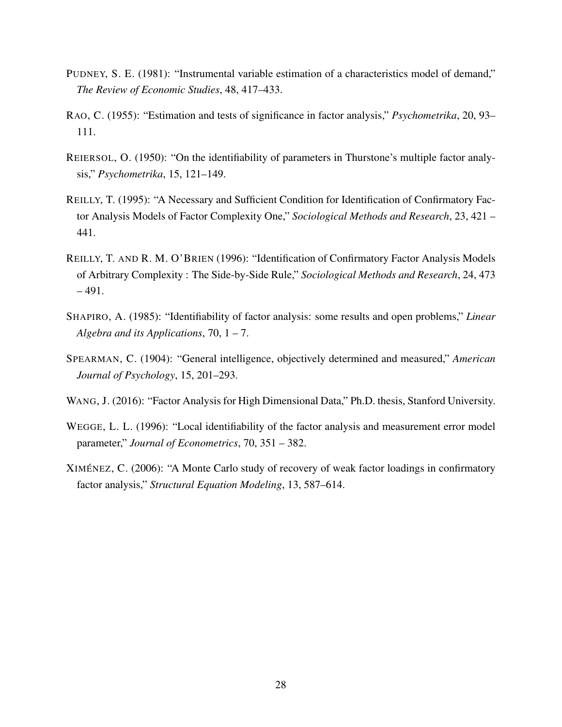- PUDNEY, S. E. (1981): "Instrumental variable estimation of a characteristics model of demand," *The Review of Economic Studies*, 48, 417–433.
- RAO, C. (1955): "Estimation and tests of significance in factor analysis," *Psychometrika*, 20, 93– 111.
- REIERSOL, O. (1950): "On the identifiability of parameters in Thurstone's multiple factor analysis," *Psychometrika*, 15, 121–149.
- REILLY, T. (1995): "A Necessary and Sufficient Condition for Identification of Confirmatory Factor Analysis Models of Factor Complexity One," *Sociological Methods and Research*, 23, 421 – 441.
- REILLY, T. AND R. M. O'BRIEN (1996): "Identification of Confirmatory Factor Analysis Models of Arbitrary Complexity : The Side-by-Side Rule," *Sociological Methods and Research*, 24, 473  $-491.$
- SHAPIRO, A. (1985): "Identifiability of factor analysis: some results and open problems," *Linear Algebra and its Applications*, 70, 1 – 7.
- SPEARMAN, C. (1904): "General intelligence, objectively determined and measured," *American Journal of Psychology*, 15, 201–293.
- WANG, J. (2016): "Factor Analysis for High Dimensional Data," Ph.D. thesis, Stanford University.
- WEGGE, L. L. (1996): "Local identifiability of the factor analysis and measurement error model parameter," *Journal of Econometrics*, 70, 351 – 382.
- XIMÉNEZ, C. (2006): "A Monte Carlo study of recovery of weak factor loadings in confirmatory factor analysis," *Structural Equation Modeling*, 13, 587–614.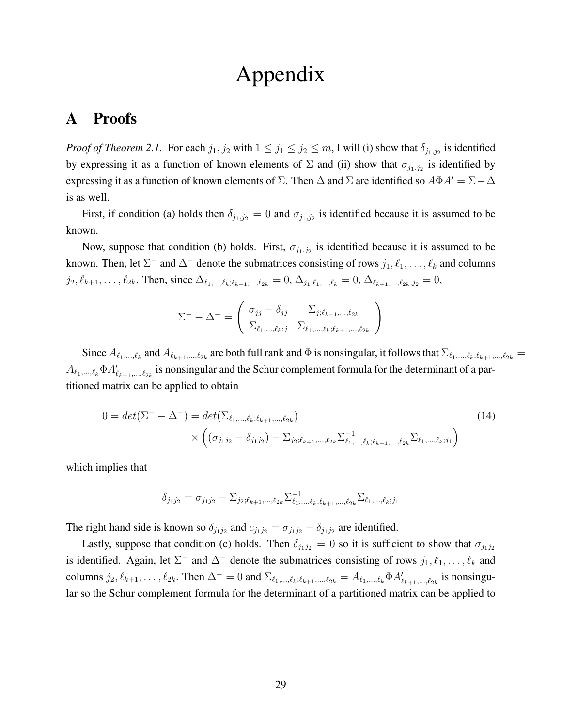# Appendix

### A Proofs

*Proof of Theorem 2.1.* For each  $j_1, j_2$  with  $1 \le j_1 \le j_2 \le m$ , I will (i) show that  $\delta_{j_1, j_2}$  is identified by expressing it as a function of known elements of  $\Sigma$  and (ii) show that  $\sigma_{j_1,j_2}$  is identified by expressing it as a function of known elements of  $\Sigma$ . Then  $\Delta$  and  $\Sigma$  are identified so  $A\Phi A' = \Sigma - \Delta$ is as well.

First, if condition (a) holds then  $\delta_{j_1,j_2} = 0$  and  $\sigma_{j_1,j_2}$  is identified because it is assumed to be known.

Now, suppose that condition (b) holds. First,  $\sigma_{j_1,j_2}$  is identified because it is assumed to be known. Then, let  $\Sigma^-$  and  $\Delta^-$  denote the submatrices consisting of rows  $j_1, \ell_1, \ldots, \ell_k$  and columns  $j_2, \ell_{k+1}, \ldots, \ell_{2k}$ . Then, since  $\Delta_{\ell_1,\ldots,\ell_k;\ell_{k+1},\ldots,\ell_{2k}} = 0, \Delta_{j_1;\ell_1,\ldots,\ell_k} = 0, \Delta_{\ell_{k+1},\ldots,\ell_{2k};j_2} = 0$ ,

$$
\Sigma^{-} - \Delta^{-} = \begin{pmatrix} \sigma_{jj} - \delta_{jj} & \Sigma_{j; \ell_{k+1}, \dots, \ell_{2k}} \\ \Sigma_{\ell_1, \dots, \ell_k; j} & \Sigma_{\ell_1, \dots, \ell_k; \ell_{k+1}, \dots, \ell_{2k}} \end{pmatrix}
$$

Since  $A_{\ell_1,...,\ell_k}$  and  $A_{\ell_{k+1},...,\ell_{2k}}$  are both full rank and  $\Phi$  is nonsingular, it follows that  $\Sigma_{\ell_1,...,\ell_k;\ell_{k+1},..., \ell_{2k}} =$  $A_{\ell_1,...,\ell_k}\Phi A'_{\ell_{k+1},...,\ell_{2k}}$  is nonsingular and the Schur complement formula for the determinant of a partitioned matrix can be applied to obtain

$$
0 = det(\Sigma^{-} - \Delta^{-}) = det(\Sigma_{\ell_{1},\ldots,\ell_{k};\ell_{k+1},\ldots,\ell_{2k}})
$$
  
 
$$
\times \left( (\sigma_{j_{1}j_{2}} - \delta_{j_{1}j_{2}}) - \Sigma_{j_{2};\ell_{k+1},\ldots,\ell_{2k}} \Sigma_{\ell_{1},\ldots,\ell_{k};\ell_{k+1},\ldots,\ell_{2k}}^{-1} \Sigma_{\ell_{1},\ldots,\ell_{k};j_{1}} \right)
$$
(14)

which implies that

$$
\delta_{j_1j_2} = \sigma_{j_1j_2} - \Sigma_{j_2;\ell_{k+1},\ldots,\ell_{2k}} \Sigma_{\ell_1,\ldots,\ell_k;\ell_{k+1},\ldots,\ell_{2k}}^{-1} \Sigma_{\ell_1,\ldots,\ell_k;j_1}
$$

The right hand side is known so  $\delta_{j_1j_2}$  and  $c_{j_1j_2} = \sigma_{j_1j_2} - \delta_{j_1j_2}$  are identified.

Lastly, suppose that condition (c) holds. Then  $\delta_{j_1j_2} = 0$  so it is sufficient to show that  $\sigma_{j_1j_2}$ is identified. Again, let  $\Sigma^-$  and  $\Delta^-$  denote the submatrices consisting of rows  $j_1, \ell_1, \ldots, \ell_k$  and columns  $j_2, \ell_{k+1}, \ldots, \ell_{2k}$ . Then  $\Delta^- = 0$  and  $\Sigma_{\ell_1, \ldots, \ell_k; \ell_{k+1}, \ldots, \ell_{2k}} = A_{\ell_1, \ldots, \ell_k} \Phi A'_{\ell_{k+1}, \ldots, \ell_{2k}}$  is nonsingular so the Schur complement formula for the determinant of a partitioned matrix can be applied to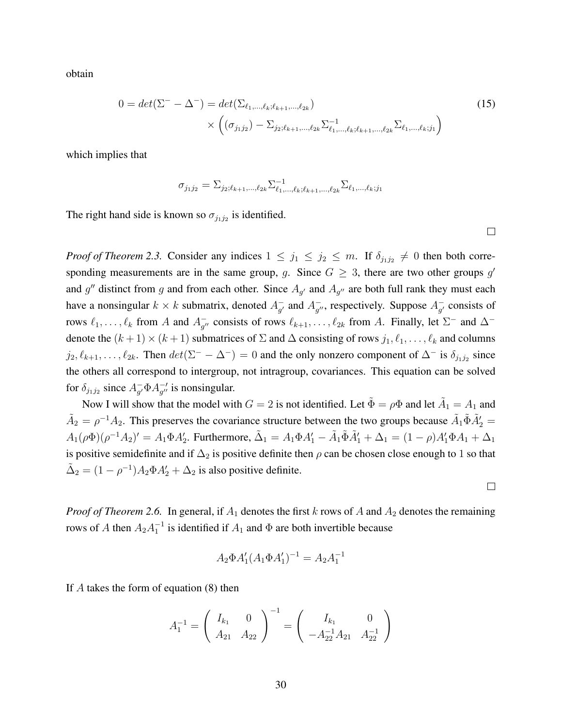obtain

$$
0 = det(\Sigma^{-} - \Delta^{-}) = det(\Sigma_{\ell_{1},\ldots,\ell_{k};\ell_{k+1},\ldots,\ell_{2k}})
$$
  
 
$$
\times \left( (\sigma_{j_{1}j_{2}}) - \Sigma_{j_{2};\ell_{k+1},\ldots,\ell_{2k}} \Sigma_{\ell_{1},\ldots,\ell_{k};\ell_{k+1},\ldots,\ell_{2k}}^{-1} \Sigma_{\ell_{1},\ldots,\ell_{k};j_{1}} \right)
$$
(15)

which implies that

$$
\sigma_{j_1 j_2} = \Sigma_{j_2; \ell_{k+1}, \dots, \ell_{2k}} \Sigma_{\ell_1, \dots, \ell_k; \ell_{k+1}, \dots, \ell_{2k}}^{-1} \Sigma_{\ell_1, \dots, \ell_k; j_1}
$$

The right hand side is known so  $\sigma_{j_1j_2}$  is identified.

 $\Box$ 

 $\Box$ 

*Proof of Theorem 2.3.* Consider any indices  $1 \leq j_1 \leq j_2 \leq m$ . If  $\delta_{j_1j_2} \neq 0$  then both corresponding measurements are in the same group, g. Since  $G \geq 3$ , there are two other groups g' and g'' distinct from g and from each other. Since  $A_{g'}$  and  $A_{g''}$  are both full rank they must each have a nonsingular  $k \times k$  submatrix, denoted  $A_{\alpha'}^{-1}$  $_{g'}^-$  and  $A_{g'}^ _{g''}^-$ , respectively. Suppose  $A_{g'}^ \overline{g'}$  consists of rows  $\ell_1, \ldots, \ell_k$  from A and  $A_{q'}^ _{g''}^-$  consists of rows  $\ell_{k+1}, \ldots, \ell_{2k}$  from A. Finally, let  $\Sigma^-$  and  $\Delta^$ denote the  $(k + 1) \times (k + 1)$  submatrices of  $\Sigma$  and  $\Delta$  consisting of rows  $j_1, \ell_1, \ldots, \ell_k$  and columns  $j_2, \ell_{k+1}, \ldots, \ell_{2k}$ . Then  $det(\Sigma^- - \Delta^-) = 0$  and the only nonzero component of  $\Delta^-$  is  $\delta_{j_1 j_2}$  since the others all correspond to intergroup, not intragroup, covariances. This equation can be solved for  $\delta_{j_1j_2}$  since  $A_{q'}^ _{g'}^{\dagger} \Phi A_{g''}^{-\dagger}$  $_{g}^{-1}$  is nonsingular.

Now I will show that the model with  $G = 2$  is not identified. Let  $\tilde{\Phi} = \rho \Phi$  and let  $\tilde{A}_1 = A_1$  and  $\tilde{A}_2 = \rho^{-1} A_2$ . This preserves the covariance structure between the two groups because  $\tilde{A}_1 \tilde{\Phi} \tilde{A}'_2 =$  $A_1(\rho\Phi)(\rho^{-1}A_2)' = A_1\Phi A_2'$ . Furthermore,  $\tilde{\Delta}_1 = A_1\Phi A_1' - \tilde{A}_1\tilde{\Phi}\tilde{A}_1' + \Delta_1 = (1 - \rho)A_1'\Phi A_1 + \Delta_1$ is positive semidefinite and if  $\Delta_2$  is positive definite then  $\rho$  can be chosen close enough to 1 so that  $\tilde{\Delta}_2 = (1 - \rho^{-1})A_2 \Phi A'_2 + \Delta_2$  is also positive definite.

*Proof of Theorem 2.6.* In general, if  $A_1$  denotes the first k rows of A and  $A_2$  denotes the remaining rows of A then  $A_2A_1^{-1}$  is identified if  $A_1$  and  $\Phi$  are both invertible because

$$
A_2 \Phi A_1' (A_1 \Phi A_1')^{-1} = A_2 A_1^{-1}
$$

If A takes the form of equation (8) then

$$
A_1^{-1} = \begin{pmatrix} I_{k_1} & 0 \\ A_{21} & A_{22} \end{pmatrix}^{-1} = \begin{pmatrix} I_{k_1} & 0 \\ -A_{22}^{-1}A_{21} & A_{22}^{-1} \end{pmatrix}
$$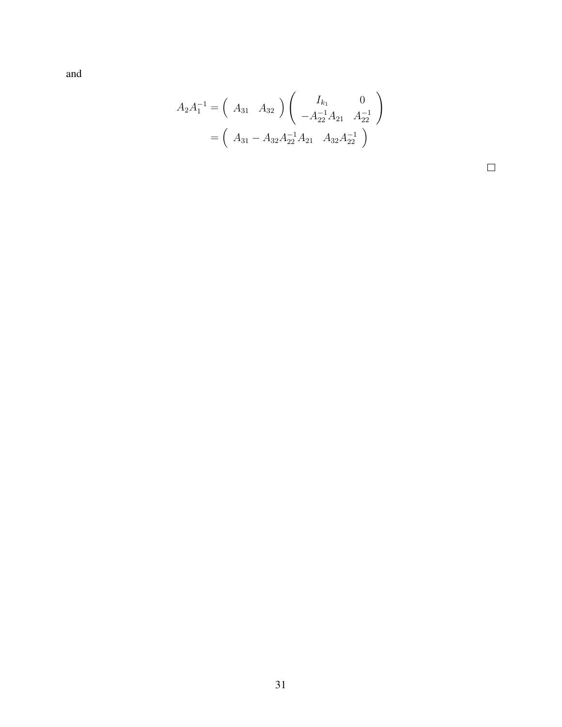and

$$
A_2 A_1^{-1} = \begin{pmatrix} A_{31} & A_{32} \end{pmatrix} \begin{pmatrix} I_{k_1} & 0 \\ -A_{22}^{-1} A_{21} & A_{22}^{-1} \end{pmatrix}
$$

$$
= \begin{pmatrix} A_{31} - A_{32} A_{22}^{-1} A_{21} & A_{32} A_{22}^{-1} \end{pmatrix}
$$

 $\Box$